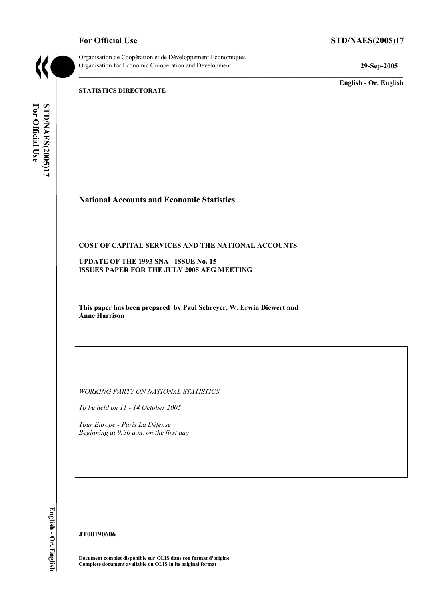**For Official Use STD/NAES(2005)17** 



Organisation de Coopération et de Développement Economiques Organisation for Economic Co-operation and Development **29-Sep-2005** 

**English - Or. English** 

**STATISTICS DIRECTORATE** 

For Official Use STD/NAES(2005)17 **For Official Use STD/NAES(2005)17 English - Or. English** 

# **National Accounts and Economic Statistics**

#### **COST OF CAPITAL SERVICES AND THE NATIONAL ACCOUNTS**

**UPDATE OF THE 1993 SNA - ISSUE No. 15 ISSUES PAPER FOR THE JULY 2005 AEG MEETING** 

**This paper has been prepared by Paul Schreyer, W. Erwin Diewert and Anne Harrison** 

*WORKING PARTY ON NATIONAL STATISTICS* 

*To be held on 11 - 14 October 2005* 

*Tour Europe - Paris La Défense Beginning at 9:30 a.m. on the first day* 

English - Or. English

#### **JT00190606**

**Document complet disponible sur OLIS dans son format d'origine Complete document available on OLIS in its original format**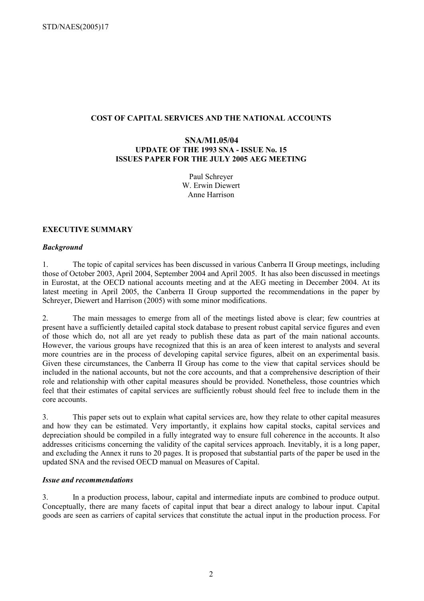#### **COST OF CAPITAL SERVICES AND THE NATIONAL ACCOUNTS**

#### **SNA/M1.05/04 UPDATE OF THE 1993 SNA - ISSUE No. 15 ISSUES PAPER FOR THE JULY 2005 AEG MEETING**

Paul Schreyer W. Erwin Diewert Anne Harrison

#### **EXECUTIVE SUMMARY**

#### *Background*

1. The topic of capital services has been discussed in various Canberra II Group meetings, including those of October 2003, April 2004, September 2004 and April 2005. It has also been discussed in meetings in Eurostat, at the OECD national accounts meeting and at the AEG meeting in December 2004. At its latest meeting in April 2005, the Canberra II Group supported the recommendations in the paper by Schreyer, Diewert and Harrison (2005) with some minor modifications.

2. The main messages to emerge from all of the meetings listed above is clear; few countries at present have a sufficiently detailed capital stock database to present robust capital service figures and even of those which do, not all are yet ready to publish these data as part of the main national accounts. However, the various groups have recognized that this is an area of keen interest to analysts and several more countries are in the process of developing capital service figures, albeit on an experimental basis. Given these circumstances, the Canberra II Group has come to the view that capital services should be included in the national accounts, but not the core accounts, and that a comprehensive description of their role and relationship with other capital measures should be provided. Nonetheless, those countries which feel that their estimates of capital services are sufficiently robust should feel free to include them in the core accounts.

3. This paper sets out to explain what capital services are, how they relate to other capital measures and how they can be estimated. Very importantly, it explains how capital stocks, capital services and depreciation should be compiled in a fully integrated way to ensure full coherence in the accounts. It also addresses criticisms concerning the validity of the capital services approach. Inevitably, it is a long paper, and excluding the Annex it runs to 20 pages. It is proposed that substantial parts of the paper be used in the updated SNA and the revised OECD manual on Measures of Capital.

#### *Issue and recommendations*

3. In a production process, labour, capital and intermediate inputs are combined to produce output. Conceptually, there are many facets of capital input that bear a direct analogy to labour input. Capital goods are seen as carriers of capital services that constitute the actual input in the production process. For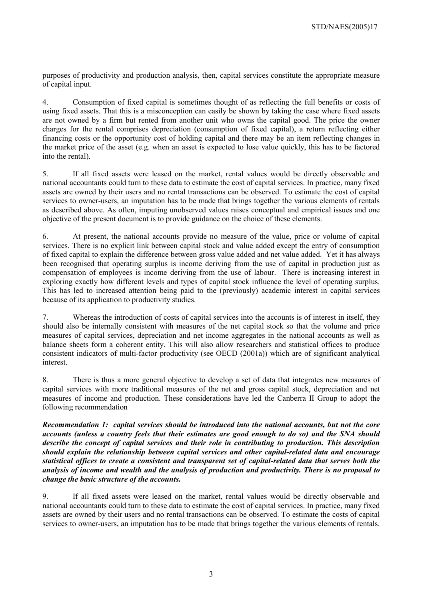purposes of productivity and production analysis, then, capital services constitute the appropriate measure of capital input.

4. Consumption of fixed capital is sometimes thought of as reflecting the full benefits or costs of using fixed assets. That this is a misconception can easily be shown by taking the case where fixed assets are not owned by a firm but rented from another unit who owns the capital good. The price the owner charges for the rental comprises depreciation (consumption of fixed capital), a return reflecting either financing costs or the opportunity cost of holding capital and there may be an item reflecting changes in the market price of the asset (e.g. when an asset is expected to lose value quickly, this has to be factored into the rental).

5. If all fixed assets were leased on the market, rental values would be directly observable and national accountants could turn to these data to estimate the cost of capital services. In practice, many fixed assets are owned by their users and no rental transactions can be observed. To estimate the cost of capital services to owner-users, an imputation has to be made that brings together the various elements of rentals as described above. As often, imputing unobserved values raises conceptual and empirical issues and one objective of the present document is to provide guidance on the choice of these elements.

6. At present, the national accounts provide no measure of the value, price or volume of capital services. There is no explicit link between capital stock and value added except the entry of consumption of fixed capital to explain the difference between gross value added and net value added. Yet it has always been recognised that operating surplus is income deriving from the use of capital in production just as compensation of employees is income deriving from the use of labour. There is increasing interest in exploring exactly how different levels and types of capital stock influence the level of operating surplus. This has led to increased attention being paid to the (previously) academic interest in capital services because of its application to productivity studies.

7. Whereas the introduction of costs of capital services into the accounts is of interest in itself, they should also be internally consistent with measures of the net capital stock so that the volume and price measures of capital services, depreciation and net income aggregates in the national accounts as well as balance sheets form a coherent entity. This will also allow researchers and statistical offices to produce consistent indicators of multi-factor productivity (see OECD (2001a)) which are of significant analytical interest.

8. There is thus a more general objective to develop a set of data that integrates new measures of capital services with more traditional measures of the net and gross capital stock, depreciation and net measures of income and production. These considerations have led the Canberra II Group to adopt the following recommendation

*Recommendation 1: capital services should be introduced into the national accounts, but not the core accounts (unless a country feels that their estimates are good enough to do so) and the SNA should describe the concept of capital services and their role in contributing to production. This description should explain the relationship between capital services and other capital-related data and encourage statistical offices to create a consistent and transparent set of capital-related data that serves both the analysis of income and wealth and the analysis of production and productivity. There is no proposal to change the basic structure of the accounts.* 

9. If all fixed assets were leased on the market, rental values would be directly observable and national accountants could turn to these data to estimate the cost of capital services. In practice, many fixed assets are owned by their users and no rental transactions can be observed. To estimate the costs of capital services to owner-users, an imputation has to be made that brings together the various elements of rentals.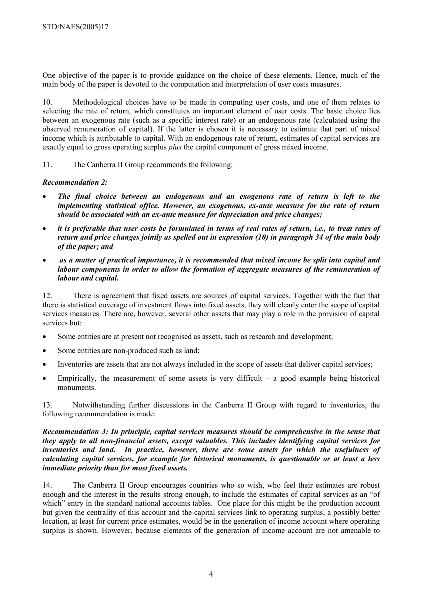One objective of the paper is to provide guidance on the choice of these elements. Hence, much of the main body of the paper is devoted to the computation and interpretation of user costs measures.

10. Methodological choices have to be made in computing user costs, and one of them relates to selecting the rate of return, which constitutes an important element of user costs. The basic choice lies between an exogenous rate (such as a specific interest rate) or an endogenous rate (calculated using the observed remuneration of capital). If the latter is chosen it is necessary to estimate that part of mixed income which is attributable to capital. With an endogenous rate of return, estimates of capital services are exactly equal to gross operating surplus *plus* the capital component of gross mixed income.

11. The Canberra II Group recommends the following:

#### *Recommendation 2:*

- *The final choice between an endogenous and an exogenous rate of return is left to the implementing statistical office. However, an exogenous, ex-ante measure for the rate of return should be associated with an ex-ante measure for depreciation and price changes;*
- *it is preferable that user costs be formulated in terms of real rates of return, i.e., to treat rates of return and price changes jointly as spelled out in expression (10) in paragraph 34 of the main body of the paper; and*
- • *as a matter of practical importance, it is recommended that mixed income be split into capital and labour components in order to allow the formation of aggregate measures of the remuneration of labour and capital.*

12. There is agreement that fixed assets are sources of capital services. Together with the fact that there is statistical coverage of investment flows into fixed assets, they will clearly enter the scope of capital services measures. There are, however, several other assets that may play a role in the provision of capital services but:

- Some entities are at present not recognised as assets, such as research and development;
- Some entities are non-produced such as land;
- Inventories are assets that are not always included in the scope of assets that deliver capital services;
- Empirically, the measurement of some assets is very difficult a good example being historical monuments.

13. Notwithstanding further discussions in the Canberra II Group with regard to inventories, the following recommendation is made:

#### *Recommendation 3: In principle, capital services measures should be comprehensive in the sense that they apply to all non-financial assets, except valuables. This includes identifying capital services for inventories and land. In practice, however, there are some assets for which the usefulness of calculating capital services, for example for historical monuments, is questionable or at least a less immediate priority than for most fixed assets.*

14. The Canberra II Group encourages countries who so wish, who feel their estimates are robust enough and the interest in the results strong enough, to include the estimates of capital services as an "of which" entry in the standard national accounts tables. One place for this might be the production account but given the centrality of this account and the capital services link to operating surplus, a possibly better location, at least for current price estimates, would be in the generation of income account where operating surplus is shown. However, because elements of the generation of income account are not amenable to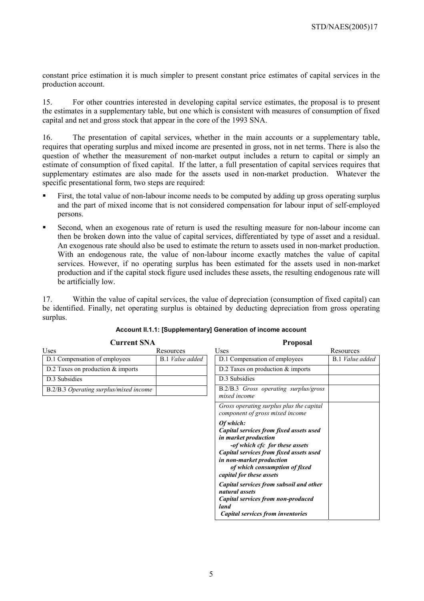constant price estimation it is much simpler to present constant price estimates of capital services in the production account.

15. For other countries interested in developing capital service estimates, the proposal is to present the estimates in a supplementary table, but one which is consistent with measures of consumption of fixed capital and net and gross stock that appear in the core of the 1993 SNA.

16. The presentation of capital services, whether in the main accounts or a supplementary table, requires that operating surplus and mixed income are presented in gross, not in net terms. There is also the question of whether the measurement of non-market output includes a return to capital or simply an estimate of consumption of fixed capital. If the latter, a full presentation of capital services requires that supplementary estimates are also made for the assets used in non-market production. Whatever the specific presentational form, two steps are required:

- First, the total value of non-labour income needs to be computed by adding up gross operating surplus and the part of mixed income that is not considered compensation for labour input of self-employed persons.
- Second, when an exogenous rate of return is used the resulting measure for non-labour income can then be broken down into the value of capital services, differentiated by type of asset and a residual. An exogenous rate should also be used to estimate the return to assets used in non-market production. With an endogenous rate, the value of non-labour income exactly matches the value of capital services. However, if no operating surplus has been estimated for the assets used in non-market production and if the capital stock figure used includes these assets, the resulting endogenous rate will be artificially low.

17. Within the value of capital services, the value of depreciation (consumption of fixed capital) can be identified. Finally, net operating surplus is obtained by deducting depreciation from gross operating surplus.

| 1 гороза1                                                                                                                                                                                                                                          |                        |
|----------------------------------------------------------------------------------------------------------------------------------------------------------------------------------------------------------------------------------------------------|------------------------|
| Uses                                                                                                                                                                                                                                               | Resources              |
| D.1 Compensation of employees                                                                                                                                                                                                                      | <b>B.1</b> Value added |
| D.2 Taxes on production $&$ imports                                                                                                                                                                                                                |                        |
| D.3 Subsidies                                                                                                                                                                                                                                      |                        |
| B.2/B.3 Gross operating surplus/gross<br>mixed income                                                                                                                                                                                              |                        |
| Gross operating surplus plus the capital<br>component of gross mixed income                                                                                                                                                                        |                        |
| Of which:<br>Capital services from fixed assets used<br>in market production<br>-of which cfc for these assets<br>Capital services from fixed assets used<br>in non-market production<br>of which consumption of fixed<br>capital for these assets |                        |
| Capital services from subsoil and other<br>natural assets<br>Capital services from non-produced<br>land                                                                                                                                            |                        |
| Capital services from inventories                                                                                                                                                                                                                  |                        |

**Proposal** 

#### **Account II.1.1: [Supplementary] Generation of income account**

**Current SNA**

Uses Resources D.1 Compensation of employees **B.1** *Value added* 

D.2 Taxes on production & imports

B.2/B.3 *Operating surplus/mixed income* 

D.3 Subsidies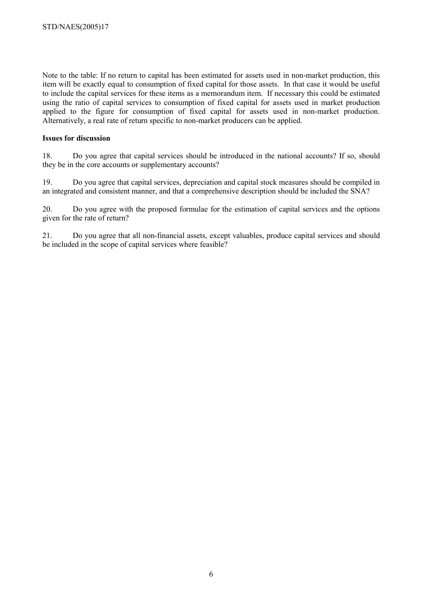Note to the table: If no return to capital has been estimated for assets used in non-market production, this item will be exactly equal to consumption of fixed capital for those assets. In that case it would be useful to include the capital services for these items as a memorandum item. If necessary this could be estimated using the ratio of capital services to consumption of fixed capital for assets used in market production applied to the figure for consumption of fixed capital for assets used in non-market production. Alternatively, a real rate of return specific to non-market producers can be applied.

#### **Issues for discussion**

18. Do you agree that capital services should be introduced in the national accounts? If so, should they be in the core accounts or supplementary accounts?

19. Do you agree that capital services, depreciation and capital stock measures should be compiled in an integrated and consistent manner, and that a comprehensive description should be included the SNA?

20. Do you agree with the proposed formulae for the estimation of capital services and the options given for the rate of return?

21. Do you agree that all non-financial assets, except valuables, produce capital services and should be included in the scope of capital services where feasible?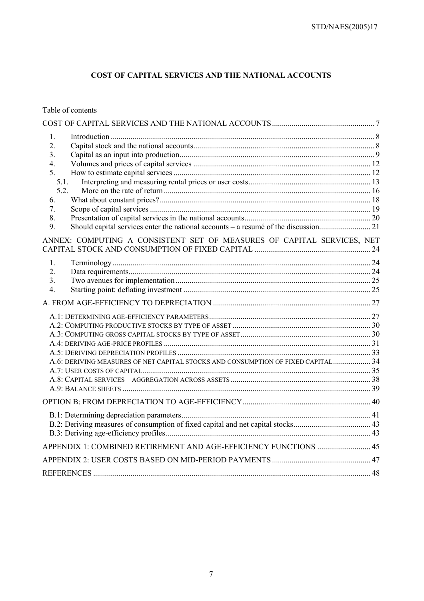# **COST OF CAPITAL SERVICES AND THE NATIONAL ACCOUNTS**

Table of contents

| $\mathbf{1}_{\cdot}$<br>$\overline{2}$ .<br>3.<br>4.<br>5.<br>5.1.<br>5.2.<br>6.<br>7.<br>8.<br>9. |  |
|----------------------------------------------------------------------------------------------------|--|
| ANNEX: COMPUTING A CONSISTENT SET OF MEASURES OF CAPITAL SERVICES, NET                             |  |
| $\mathbf{1}$<br>$\overline{2}$ .<br>3.<br>$\overline{4}$ .                                         |  |
|                                                                                                    |  |
| A.6: DERIVING MEASURES OF NET CAPITAL STOCKS AND CONSUMPTION OF FIXED CAPITAL 34                   |  |
|                                                                                                    |  |
|                                                                                                    |  |
|                                                                                                    |  |
|                                                                                                    |  |
|                                                                                                    |  |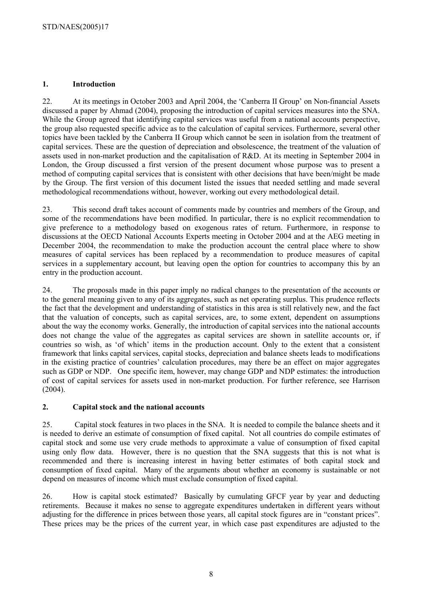# **1. Introduction**

22. At its meetings in October 2003 and April 2004, the 'Canberra II Group' on Non-financial Assets discussed a paper by Ahmad (2004), proposing the introduction of capital services measures into the SNA. While the Group agreed that identifying capital services was useful from a national accounts perspective, the group also requested specific advice as to the calculation of capital services. Furthermore, several other topics have been tackled by the Canberra II Group which cannot be seen in isolation from the treatment of capital services. These are the question of depreciation and obsolescence, the treatment of the valuation of assets used in non-market production and the capitalisation of R&D. At its meeting in September 2004 in London, the Group discussed a first version of the present document whose purpose was to present a method of computing capital services that is consistent with other decisions that have been/might be made by the Group. The first version of this document listed the issues that needed settling and made several methodological recommendations without, however, working out every methodological detail.

23. This second draft takes account of comments made by countries and members of the Group, and some of the recommendations have been modified. In particular, there is no explicit recommendation to give preference to a methodology based on exogenous rates of return. Furthermore, in response to discussions at the OECD National Accounts Experts meeting in October 2004 and at the AEG meeting in December 2004, the recommendation to make the production account the central place where to show measures of capital services has been replaced by a recommendation to produce measures of capital services in a supplementary account, but leaving open the option for countries to accompany this by an entry in the production account.

24. The proposals made in this paper imply no radical changes to the presentation of the accounts or to the general meaning given to any of its aggregates, such as net operating surplus. This prudence reflects the fact that the development and understanding of statistics in this area is still relatively new, and the fact that the valuation of concepts, such as capital services, are, to some extent, dependent on assumptions about the way the economy works. Generally, the introduction of capital services into the national accounts does not change the value of the aggregates as capital services are shown in satellite accounts or, if countries so wish, as 'of which' items in the production account. Only to the extent that a consistent framework that links capital services, capital stocks, depreciation and balance sheets leads to modifications in the existing practice of countries' calculation procedures, may there be an effect on major aggregates such as GDP or NDP. One specific item, however, may change GDP and NDP estimates: the introduction of cost of capital services for assets used in non-market production. For further reference, see Harrison (2004).

# **2. Capital stock and the national accounts**

25. Capital stock features in two places in the SNA. It is needed to compile the balance sheets and it is needed to derive an estimate of consumption of fixed capital. Not all countries do compile estimates of capital stock and some use very crude methods to approximate a value of consumption of fixed capital using only flow data. However, there is no question that the SNA suggests that this is not what is recommended and there is increasing interest in having better estimates of both capital stock and consumption of fixed capital. Many of the arguments about whether an economy is sustainable or not depend on measures of income which must exclude consumption of fixed capital.

26. How is capital stock estimated? Basically by cumulating GFCF year by year and deducting retirements. Because it makes no sense to aggregate expenditures undertaken in different years without adjusting for the difference in prices between those years, all capital stock figures are in "constant prices". These prices may be the prices of the current year, in which case past expenditures are adjusted to the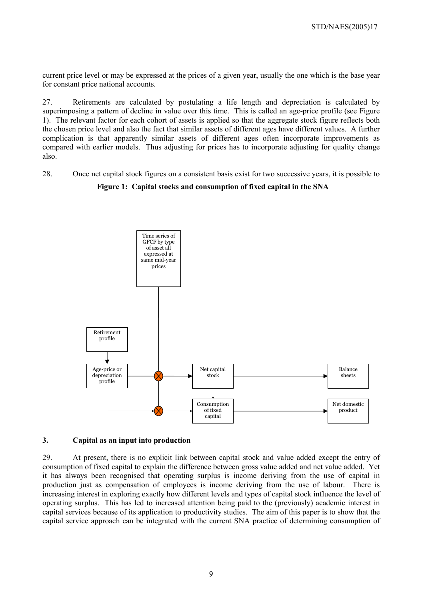current price level or may be expressed at the prices of a given year, usually the one which is the base year for constant price national accounts.

27. Retirements are calculated by postulating a life length and depreciation is calculated by superimposing a pattern of decline in value over this time. This is called an age-price profile (see Figure 1). The relevant factor for each cohort of assets is applied so that the aggregate stock figure reflects both the chosen price level and also the fact that similar assets of different ages have different values. A further complication is that apparently similar assets of different ages often incorporate improvements as compared with earlier models. Thus adjusting for prices has to incorporate adjusting for quality change also.

28. Once net capital stock figures on a consistent basis exist for two successive years, it is possible to

#### calculate the difference between them and a consumption of fixed conital in the SNA Figure 1: Capital stocks and consumption of fixed capital in the SNA



#### **3. Capital as an input into production**

29. At present, there is no explicit link between capital stock and value added except the entry of consumption of fixed capital to explain the difference between gross value added and net value added. Yet it has always been recognised that operating surplus is income deriving from the use of capital in production just as compensation of employees is income deriving from the use of labour. There is increasing interest in exploring exactly how different levels and types of capital stock influence the level of operating surplus. This has led to increased attention being paid to the (previously) academic interest in capital services because of its application to productivity studies. The aim of this paper is to show that the capital service approach can be integrated with the current SNA practice of determining consumption of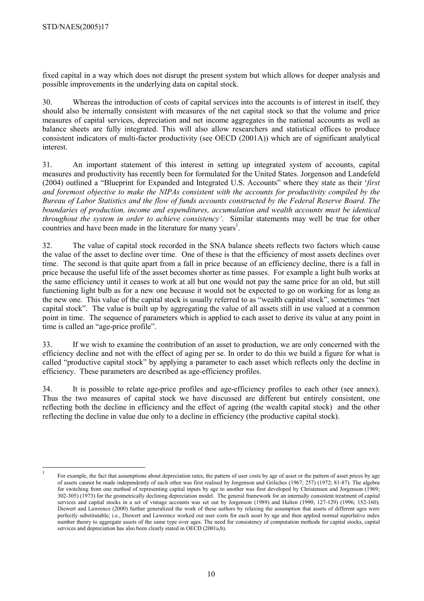fixed capital in a way which does not disrupt the present system but which allows for deeper analysis and possible improvements in the underlying data on capital stock.

30. Whereas the introduction of costs of capital services into the accounts is of interest in itself, they should also be internally consistent with measures of the net capital stock so that the volume and price measures of capital services, depreciation and net income aggregates in the national accounts as well as balance sheets are fully integrated. This will also allow researchers and statistical offices to produce consistent indicators of multi-factor productivity (see OECD (2001A)) which are of significant analytical interest.

31. An important statement of this interest in setting up integrated system of accounts, capital measures and productivity has recently been for formulated for the United States. Jorgenson and Landefeld (2004) outlined a "Blueprint for Expanded and Integrated U.S. Accounts" where they state as their '*first and foremost objective to make the NIPAs consistent with the accounts for productivity compiled by the Bureau of Labor Statistics and the flow of funds accounts constructed by the Federal Reserve Board. The boundaries of production, income and expenditures, accumulation and wealth accounts must be identical throughout the system in order to achieve consistency'*. Similar statements may well be true for other countries and have been made in the literature for many years<sup>1</sup>.

32. The value of capital stock recorded in the SNA balance sheets reflects two factors which cause the value of the asset to decline over time. One of these is that the efficiency of most assets declines over time. The second is that quite apart from a fall in price because of an efficiency decline, there is a fall in price because the useful life of the asset becomes shorter as time passes. For example a light bulb works at the same efficiency until it ceases to work at all but one would not pay the same price for an old, but still functioning light bulb as for a new one because it would not be expected to go on working for as long as the new one. This value of the capital stock is usually referred to as "wealth capital stock", sometimes "net capital stock". The value is built up by aggregating the value of all assets still in use valued at a common point in time. The sequence of parameters which is applied to each asset to derive its value at any point in time is called an "age-price profile".

33. If we wish to examine the contribution of an asset to production, we are only concerned with the efficiency decline and not with the effect of aging per se. In order to do this we build a figure for what is called "productive capital stock" by applying a parameter to each asset which reflects only the decline in efficiency. These parameters are described as age-efficiency profiles.

34. It is possible to relate age-price profiles and age-efficiency profiles to each other (see annex). Thus the two measures of capital stock we have discussed are different but entirely consistent, one reflecting both the decline in efficiency and the effect of ageing (the wealth capital stock) and the other reflecting the decline in value due only to a decline in efficiency (the productive capital stock).

 $\mathbf{1}$ <sup>1</sup> For example, the fact that assumptions about depreciation rates, the pattern of user costs by age of asset or the pattern of asset prices by age of assets cannot be made independently of each other was first realised by Jorgenson and Griliches (1967; 257) (1972; 81-87). The algebra for switching from one method of representing capital inputs by age to another was first developed by Christensen and Jorgenson (1969; 302-305) (1973) for the geometrically declining depreciation model. The general framework for an internally consistent treatment of capital services and capital stocks in a set of vintage accounts was set out by Jorgenson (1989) and Hulten (1990; 127-129) (1996; 152-160). Diewert and Lawrence (2000) further generalized the work of these authors by relaxing the assumption that assets of different ages were perfectly substitutable; i.e., Diewert and Lawrence worked out user costs for each asset by age and then applied normal superlative index number theory to aggregate assets of the same type over ages. The need for consistency of computation methods for capital stocks, capital services and depreciation has also been clearly stated in OECD (2001a,b).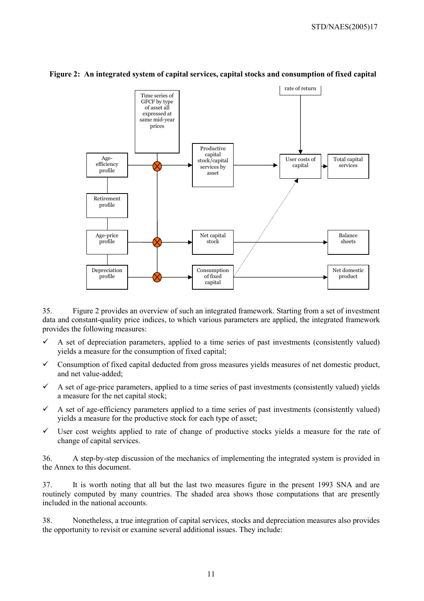

# Figure 2: An integrated system of capital services, capital stocks and consumption of fixed capital

35. Figure 2 provides an overview of such an integrated framework. Starting from a set of investment data and constant-quality price indices, to which various parameters are applied, the integrated framework provides the following measures:

- $\checkmark$  A set of depreciation parameters, applied to a time series of past investments (consistently valued) yields a measure for the consumption of fixed capital;
- $\checkmark$  Consumption of fixed capital deducted from gross measures yields measures of net domestic product, and net value-added;
- $\checkmark$  A set of age-price parameters, applied to a time series of past investments (consistently valued) yields a measure for the net capital stock;
- $\checkmark$  A set of age-efficiency parameters applied to a time series of past investments (consistently valued) yields a measure for the productive stock for each type of asset;
- $\checkmark$  User cost weights applied to rate of change of productive stocks yields a measure for the rate of change of capital services.

36. A step-by-step discussion of the mechanics of implementing the integrated system is provided in the Annex to this document.

37. It is worth noting that all but the last two measures figure in the present 1993 SNA and are routinely computed by many countries. The shaded area shows those computations that are presently included in the national accounts.

38. Nonetheless, a true integration of capital services, stocks and depreciation measures also provides the opportunity to revisit or examine several additional issues. They include: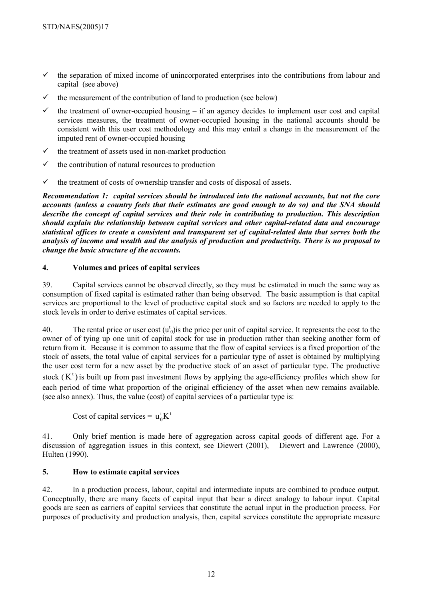- $\checkmark$  the separation of mixed income of unincorporated enterprises into the contributions from labour and capital (see above)
- $\checkmark$  the measurement of the contribution of land to production (see below)
- the treatment of owner-occupied housing  $-$  if an agency decides to implement user cost and capital services measures, the treatment of owner-occupied housing in the national accounts should be consistent with this user cost methodology and this may entail a change in the measurement of the imputed rent of owner-occupied housing
- $\checkmark$  the treatment of assets used in non-market production
- $\checkmark$  the contribution of natural resources to production
- $\checkmark$  the treatment of costs of ownership transfer and costs of disposal of assets.

*Recommendation 1: capital services should be introduced into the national accounts, but not the core accounts (unless a country feels that their estimates are good enough to do so) and the SNA should describe the concept of capital services and their role in contributing to production. This description should explain the relationship between capital services and other capital-related data and encourage statistical offices to create a consistent and transparent set of capital-related data that serves both the analysis of income and wealth and the analysis of production and productivity. There is no proposal to change the basic structure of the accounts.* 

#### **4. Volumes and prices of capital services**

39. Capital services cannot be observed directly, so they must be estimated in much the same way as consumption of fixed capital is estimated rather than being observed. The basic assumption is that capital services are proportional to the level of productive capital stock and so factors are needed to apply to the stock levels in order to derive estimates of capital services.

40. The rental price or user cost  $(u_0^t)$  is the price per unit of capital service. It represents the cost to the owner of of tying up one unit of capital stock for use in production rather than seeking another form of return from it. Because it is common to assume that the flow of capital services is a fixed proportion of the stock of assets, the total value of capital services for a particular type of asset is obtained by multiplying the user cost term for a new asset by the productive stock of an asset of particular type. The productive stock  $(K<sup>t</sup>)$  is built up from past investment flows by applying the age-efficiency profiles which show for each period of time what proportion of the original efficiency of the asset when new remains available. (see also annex). Thus, the value (cost) of capital services of a particular type is:

Cost of capital services =  $u_0^{\dagger} K^{\dagger}$ 

41. Only brief mention is made here of aggregation across capital goods of different age. For a discussion of aggregation issues in this context, see Diewert (2001), Diewert and Lawrence (2000), Hulten (1990).

# **5. How to estimate capital services**

42. In a production process, labour, capital and intermediate inputs are combined to produce output. Conceptually, there are many facets of capital input that bear a direct analogy to labour input. Capital goods are seen as carriers of capital services that constitute the actual input in the production process. For purposes of productivity and production analysis, then, capital services constitute the appropriate measure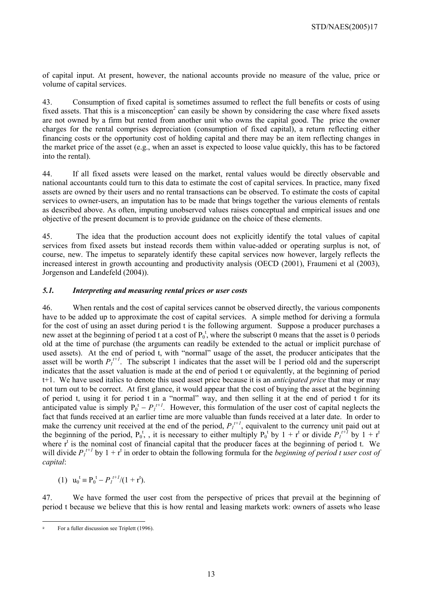of capital input. At present, however, the national accounts provide no measure of the value, price or volume of capital services.

43. Consumption of fixed capital is sometimes assumed to reflect the full benefits or costs of using fixed assets. That this is a misconception<sup>2</sup> can easily be shown by considering the case where fixed assets are not owned by a firm but rented from another unit who owns the capital good. The price the owner charges for the rental comprises depreciation (consumption of fixed capital), a return reflecting either financing costs or the opportunity cost of holding capital and there may be an item reflecting changes in the market price of the asset (e.g., when an asset is expected to loose value quickly, this has to be factored into the rental).

44. If all fixed assets were leased on the market, rental values would be directly observable and national accountants could turn to this data to estimate the cost of capital services. In practice, many fixed assets are owned by their users and no rental transactions can be observed. To estimate the costs of capital services to owner-users, an imputation has to be made that brings together the various elements of rentals as described above. As often, imputing unobserved values raises conceptual and empirical issues and one objective of the present document is to provide guidance on the choice of these elements.

45. The idea that the production account does not explicitly identify the total values of capital services from fixed assets but instead records them within value-added or operating surplus is not, of course, new. The impetus to separately identify these capital services now however, largely reflects the increased interest in growth accounting and productivity analysis (OECD (2001), Fraumeni et al (2003), Jorgenson and Landefeld (2004)).

#### *5.1. Interpreting and measuring rental prices or user costs*

46. When rentals and the cost of capital services cannot be observed directly, the various components have to be added up to approximate the cost of capital services. A simple method for deriving a formula for the cost of using an asset during period t is the following argument. Suppose a producer purchases a new asset at the beginning of period t at a cost of  $P_0^t$ , where the subscript 0 means that the asset is 0 periods old at the time of purchase (the arguments can readily be extended to the actual or implicit purchase of used assets). At the end of period t, with "normal" usage of the asset, the producer anticipates that the asset will be worth  $P_I^{t+1}$ . The subscript 1 indicates that the asset will be 1 period old and the superscript indicates that the asset valuation is made at the end of period t or equivalently, at the beginning of period t+1. We have used italics to denote this used asset price because it is an *anticipated price* that may or may not turn out to be correct. At first glance, it would appear that the cost of buying the asset at the beginning of period t, using it for period t in a "normal" way, and then selling it at the end of period t for its anticipated value is simply  $P_0^t - P_I^{t+1}$ . However, this formulation of the user cost of capital neglects the fact that funds received at an earlier time are more valuable than funds received at a later date. In order to make the currency unit received at the end of the period,  $P_l^{t+1}$ , equivalent to the currency unit paid out at the beginning of the period,  $P_0^t$ , it is necessary to either multiply  $P_0^t$  by  $1 + r^t$  or divide  $P_1^{t+1}$  by  $1 + r^t$ where  $r<sup>t</sup>$  is the nominal cost of financial capital that the producer faces at the beginning of period t. We will divide  $P_I^{t+1}$  by  $1 + r^t$  in order to obtain the following formula for the *beginning of period t user cost of capital*:

(1)  $u_0^t \equiv P_0^t - P_I^{t+1}/(1 + r^t)$ .

47. We have formed the user cost from the perspective of prices that prevail at the beginning of period t because we believe that this is how rental and leasing markets work: owners of assets who lease

 $\overline{a}$ <sup>2</sup> For a fuller discussion see Triplett (1996).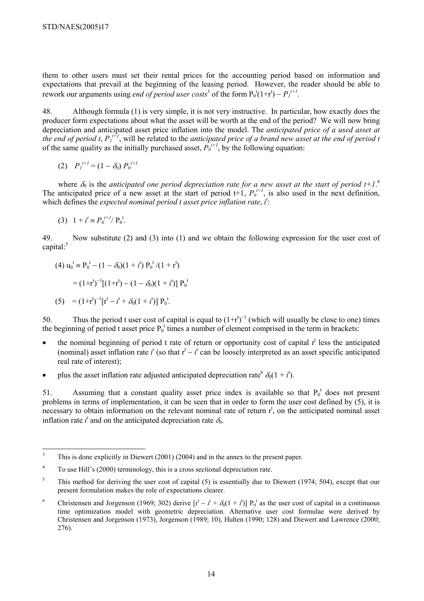them to other users must set their rental prices for the accounting period based on information and expectations that prevail at the beginning of the leasing period. However, the reader should be able to rework our arguments using *end of period user costs*<sup>3</sup> of the form  $P_0^t(1+r^t) - P_1^{t+1}$ .

48. Although formula (1) is very simple, it is not very instructive. In particular, how exactly does the producer form expectations about what the asset will be worth at the end of the period? We will now bring depreciation and anticipated asset price inflation into the model. The *anticipated price of a used asset at the end of period t,*  $P_I^{I+1}$ *, will be related to the anticipated price of a brand new asset at the end of period t* of the same quality as the initially purchased asset,  $\hat{P}_0^{t+1}$ , by the following equation:

(2) 
$$
P_l^{t+1} = (1 - \delta_0) P_0^{t+1}
$$

where  $\delta_0$  is the *anticipated one period depreciation rate for a new asset at the start of period t+1.<sup>4</sup>* The anticipated price of a new asset at the start of period  $t+1$ ,  $P_0^{t+1}$ , is also used in the next definition, which defines the *expected nominal period t asset price inflation rate*, *i*<sup>*t*</sup>:

(3) 
$$
1 + i^t \equiv P_0^{t+1} / P_0^t
$$
.

49. Now substitute (2) and (3) into (1) and we obtain the following expression for the user cost of capital:<sup>5</sup>

(4) 
$$
u_0^t \equiv P_0^t - (1 - \delta_0)(1 + i^t) P_0^t / (1 + r^t)
$$

$$
= (1+r^{t})^{-1} [(1+r^{t}) - (1-\delta_0)(1+i^{t})] P_0^{t}
$$

(5) = 
$$
(1+r^t)^{-1}[r^t - i^t + \delta_0(1+i^t)] P_0^t
$$
.

50. Thus the period t user cost of capital is equal to  $(1+r^{t})^{-1}$  (which will usually be close to one) times the beginning of period t asset price  $P_0^t$  times a number of element comprised in the term in brackets:

- $\bullet$  the nominal beginning of period t rate of return or opportunity cost of capital  $r^t$  less the anticipated (nominal) asset inflation rate  $i^t$  (so that  $r^t - i^t$  can be loosely interpreted as an asset specific anticipated real rate of interest);
- plus the asset inflation rate adjusted anticipated depreciation rate<sup>6</sup>  $\delta_0(1 + i^t)$ .

51. Assuming that a constant quality asset price index is available so that  $P_0^t$  does not present problems in terms of implementation, it can be seen that in order to form the user cost defined by (5), it is necessary to obtain information on the relevant nominal rate of return  $r<sup>t</sup>$ , on the anticipated nominal asset inflation rate  $i^t$  and on the anticipated depreciation rate  $\delta_0$ .

 3 This is done explicitly in Diewert (2001) (2004) and in the annex to the present paper.

<sup>4</sup> To use Hill's (2000) terminology, this is a cross sectional depreciation rate.

<sup>5</sup> This method for deriving the user cost of capital (5) is essentially due to Diewert (1974; 504), except that our present formulation makes the role of expectations clearer.

<sup>6</sup> Christensen and Jorgenson (1969; 302) derive  $[r^t - i^t + \delta_0(1 + i^t)] P_0^t$  as the user cost of capital in a continuous time optimization model with geometric depreciation. Alternative user cost formulae were derived by Christensen and Jorgenson (1973), Jorgenson (1989; 10), Hulten (1990; 128) and Diewert and Lawrence (2000; 276).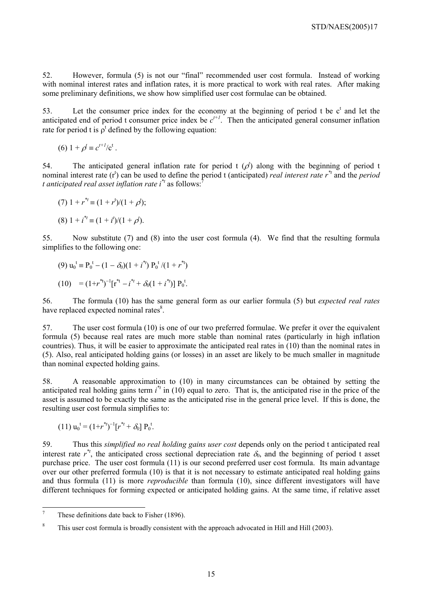52. However, formula (5) is not our "final" recommended user cost formula. Instead of working with nominal interest rates and inflation rates, it is more practical to work with real rates. After making some preliminary definitions, we show how simplified user cost formulae can be obtained.

53. Let the consumer price index for the economy at the beginning of period  $t$  be  $c<sup>t</sup>$  and let the anticipated end of period t consumer price index be  $c^{t+1}$ . Then the anticipated general consumer inflation rate for period t is  $\rho^t$  defined by the following equation:

(6) 
$$
1 + \rho^t \equiv c^{t+1}/c^t
$$
.

54. The anticipated general inflation rate for period  $t$  ( $\rho$ ) along with the beginning of period t nominal interest rate  $(r^t)$  can be used to define the period t (anticipated) *real interest rate*  $r^{\ast t}$  and the *period t anticipated real asset inflation rate i*<sup>\**t*</sup> as follows:<sup>7</sup>

 $(7)$  1 +  $r^* = (1 + r^t)/(1 + \rho^t);$ 

 $(8)$  1 +  $i^{*}$  =  $(1 + i^{t})/(1 + \rho^{t}).$ 

55. Now substitute (7) and (8) into the user cost formula (4). We find that the resulting formula simplifies to the following one:

(9) 
$$
u_0^t \equiv P_0^t - (1 - \delta_0)(1 + i^{*t}) P_0^t / (1 + r^{*t})
$$

$$
(10) = (1+r^{*t})^{-1} [r^{*t} - i^{*t} + \delta_0 (1 + i^{*t})] P_0^t.
$$

56. The formula (10) has the same general form as our earlier formula (5) but *expected real rates* have replaced expected nominal rates<sup>8</sup>.

57. The user cost formula (10) is one of our two preferred formulae. We prefer it over the equivalent formula (5) because real rates are much more stable than nominal rates (particularly in high inflation countries). Thus, it will be easier to approximate the anticipated real rates in (10) than the nominal rates in (5). Also, real anticipated holding gains (or losses) in an asset are likely to be much smaller in magnitude than nominal expected holding gains.

58. A reasonable approximation to (10) in many circumstances can be obtained by setting the anticipated real holding gains term  $i^*$  in (10) equal to zero. That is, the anticipated rise in the price of the asset is assumed to be exactly the same as the anticipated rise in the general price level. If this is done, the resulting user cost formula simplifies to:

$$
(11) u_0^{\mathfrak{t}} = (1 + r^{*t})^{-1} [r^{*t} + \delta_0] P_0^{\mathfrak{t}}.
$$

59. Thus this *simplified no real holding gains user cost* depends only on the period t anticipated real interest rate  $r^*$ , the anticipated cross sectional depreciation rate  $\delta_0$ , and the beginning of period t asset purchase price. The user cost formula (11) is our second preferred user cost formula. Its main advantage over our other preferred formula (10) is that it is not necessary to estimate anticipated real holding gains and thus formula (11) is more *reproducible* than formula (10), since different investigators will have different techniques for forming expected or anticipated holding gains. At the same time, if relative asset

<sup>&</sup>lt;sup>-</sup> These definitions date back to Fisher (1896).

<sup>8</sup> This user cost formula is broadly consistent with the approach advocated in Hill and Hill (2003).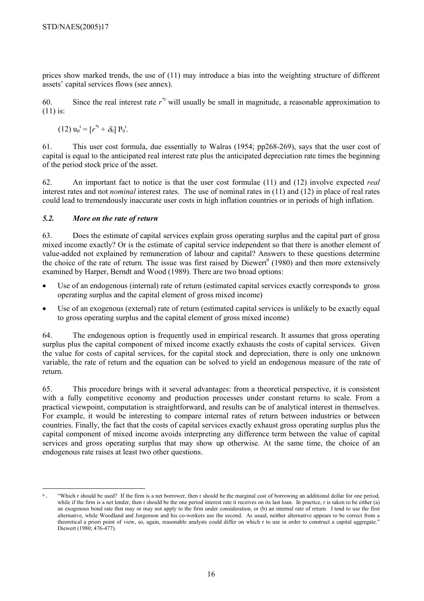prices show marked trends, the use of (11) may introduce a bias into the weighting structure of different assets' capital services flows (see annex).

60. Since the real interest rate  $r^*$  will usually be small in magnitude, a reasonable approximation to  $(11)$  is:

$$
(12) u_0^{\ t} = [r^{*t} + \delta_0] P_0^{\ t}.
$$

61. This user cost formula, due essentially to Walras (1954; pp268-269), says that the user cost of capital is equal to the anticipated real interest rate plus the anticipated depreciation rate times the beginning of the period stock price of the asset.

62. An important fact to notice is that the user cost formulae (11) and (12) involve expected *real*  interest rates and not *nominal* interest rates. The use of nominal rates in (11) and (12) in place of real rates could lead to tremendously inaccurate user costs in high inflation countries or in periods of high inflation.

#### *5.2. More on the rate of return*

63. Does the estimate of capital services explain gross operating surplus and the capital part of gross mixed income exactly? Or is the estimate of capital service independent so that there is another element of value-added not explained by remuneration of labour and capital? Answers to these questions determine the choice of the rate of return. The issue was first raised by Diewert<sup>9</sup> (1980) and then more extensively examined by Harper, Berndt and Wood (1989). There are two broad options:

- Use of an endogenous (internal) rate of return (estimated capital services exactly corresponds to gross operating surplus and the capital element of gross mixed income)
- Use of an exogenous (external) rate of return (estimated capital services is unlikely to be exactly equal to gross operating surplus and the capital element of gross mixed income)

64. The endogenous option is frequently used in empirical research. It assumes that gross operating surplus plus the capital component of mixed income exactly exhausts the costs of capital services. Given the value for costs of capital services, for the capital stock and depreciation, there is only one unknown variable, the rate of return and the equation can be solved to yield an endogenous measure of the rate of return.

65. This procedure brings with it several advantages: from a theoretical perspective, it is consistent with a fully competitive economy and production processes under constant returns to scale. From a practical viewpoint, computation is straightforward, and results can be of analytical interest in themselves. For example, it would be interesting to compare internal rates of return between industries or between countries. Finally, the fact that the costs of capital services exactly exhaust gross operating surplus plus the capital component of mixed income avoids interpreting any difference term between the value of capital services and gross operating surplus that may show up otherwise. At the same time, the choice of an endogenous rate raises at least two other questions.

<sup>&</sup>quot;Which r should be used? If the firm is a net borrower, then r should be the marginal cost of borrowing an additional dollar for one period, while if the firm is a net lender, then r should be the one period interest rate it receives on its last loan. In practice, r is taken to be either (a) an exogenous bond rate that may or may not apply to the firm under consideration, or (b) an internal rate of return. I tend to use the first alternative, while Woodland and Jorgenson and his co-workers use the second. As usual, neither alternative appears to be correct from a theoretical a priori point of view, so, again, reasonable analysts could differ on which r to use in order to construct a capital aggregate." Diewert (1980; 476-477).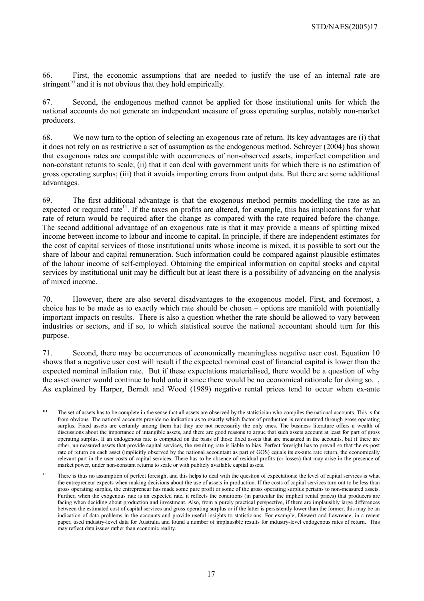66. First, the economic assumptions that are needed to justify the use of an internal rate are stringent<sup>10</sup> and it is not obvious that they hold empirically.

67. Second, the endogenous method cannot be applied for those institutional units for which the national accounts do not generate an independent measure of gross operating surplus, notably non-market producers.

68. We now turn to the option of selecting an exogenous rate of return. Its key advantages are (i) that it does not rely on as restrictive a set of assumption as the endogenous method. Schreyer (2004) has shown that exogenous rates are compatible with occurrences of non-observed assets, imperfect competition and non-constant returns to scale; (ii) that it can deal with government units for which there is no estimation of gross operating surplus; (iii) that it avoids importing errors from output data. But there are some additional advantages.

69. The first additional advantage is that the exogenous method permits modelling the rate as an expected or required rate<sup>11</sup>. If the taxes on profits are altered, for example, this has implications for what rate of return would be required after the change as compared with the rate required before the change. The second additional advantage of an exogenous rate is that it may provide a means of splitting mixed income between income to labour and income to capital. In principle, if there are independent estimates for the cost of capital services of those institutional units whose income is mixed, it is possible to sort out the share of labour and capital remuneration. Such information could be compared against plausible estimates of the labour income of self-employed. Obtaining the empirical information on capital stocks and capital services by institutional unit may be difficult but at least there is a possibility of advancing on the analysis of mixed income.

70. However, there are also several disadvantages to the exogenous model. First, and foremost, a choice has to be made as to exactly which rate should be chosen – options are manifold with potentially important impacts on results. There is also a question whether the rate should be allowed to vary between industries or sectors, and if so, to which statistical source the national accountant should turn for this purpose.

71. Second, there may be occurrences of economically meaningless negative user cost. Equation 10 shows that a negative user cost will result if the expected nominal cost of financial capital is lower than the expected nominal inflation rate. But if these expectations materialised, there would be a question of why the asset owner would continue to hold onto it since there would be no economical rationale for doing so. , As explained by Harper, Berndt and Wood (1989) negative rental prices tend to occur when ex-ante

<sup>&</sup>lt;sup>10</sup> The set of assets has to be complete in the sense that all assets are observed by the statistician who compiles the national accounts. This is far from obvious. The national accounts provide no indication as to exactly which factor of production is remunerated through gross operating surplus. Fixed assets are certainly among them but they are not necessarily the only ones. The business literature offers a wealth of discussions about the importance of intangible assets, and there are good reasons to argue that such assets account at least for part of gross operating surplus. If an endogenous rate is computed on the basis of those fixed assets that are measured in the accounts, but if there are other, unmeasured assets that provide capital services, the resulting rate is liable to bias. Perfect foresight has to prevail so that the ex-post rate of return on each asset (implicitly observed by the national accountant as part of GOS) equals its ex-ante rate return, the economically relevant part in the user costs of capital services. There has to be absence of residual profits (or losses) that may arise in the presence of market power, under non-constant returns to scale or with publicly available capital assets.

<sup>&</sup>lt;sup>11</sup> There is thus no assumption of perfect foresight and this helps to deal with the question of expectations: the level of capital services is what the entrepreneur expects when making decisions about the use of assets in production. If the costs of capital services turn out to be less than gross operating surplus, the entrepreneur has made some pure profit or some of the gross operating surplus pertains to non-measured assets. Further, when the exogenous rate is an expected rate, it reflects the conditions (in particular the implicit rental prices) that producers are facing when deciding about production and investment. Also, from a purely practical perspective, if there are implausibly large differences between the estimated cost of capital services and gross operating surplus or if the latter is persistently lower than the former, this may be an indication of data problems in the accounts and provide useful insights to statisticians. For example, Diewert and Lawrence, in a recent paper, used industry-level data for Australia and found a number of implausible results for industry-level endogenous rates of return. This may reflect data issues rather than economic reality.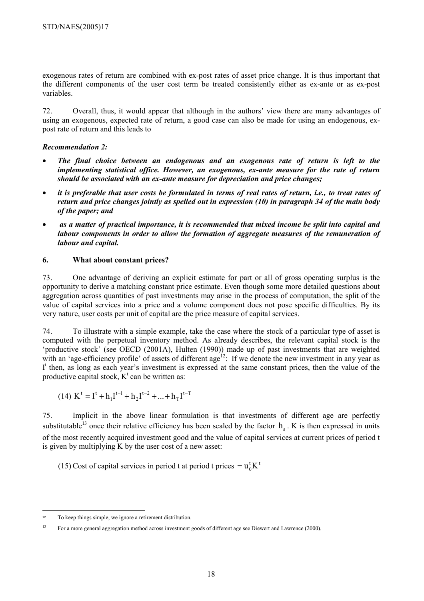exogenous rates of return are combined with ex-post rates of asset price change. It is thus important that the different components of the user cost term be treated consistently either as ex-ante or as ex-post variables.

72. Overall, thus, it would appear that although in the authors' view there are many advantages of using an exogenous, expected rate of return, a good case can also be made for using an endogenous, expost rate of return and this leads to

# *Recommendation 2:*

- *The final choice between an endogenous and an exogenous rate of return is left to the implementing statistical office. However, an exogenous, ex-ante measure for the rate of return should be associated with an ex-ante measure for depreciation and price changes;*
- *it is preferable that user costs be formulated in terms of real rates of return, i.e., to treat rates of return and price changes jointly as spelled out in expression (10) in paragraph 34 of the main body of the paper; and*
- • *as a matter of practical importance, it is recommended that mixed income be split into capital and labour components in order to allow the formation of aggregate measures of the remuneration of labour and capital.*

# **6. What about constant prices?**

73. One advantage of deriving an explicit estimate for part or all of gross operating surplus is the opportunity to derive a matching constant price estimate. Even though some more detailed questions about aggregation across quantities of past investments may arise in the process of computation, the split of the value of capital services into a price and a volume component does not pose specific difficulties. By its very nature, user costs per unit of capital are the price measure of capital services.

74. To illustrate with a simple example, take the case where the stock of a particular type of asset is computed with the perpetual inventory method. As already describes, the relevant capital stock is the 'productive stock' (see OECD (2001A), Hulten (1990)) made up of past investments that are weighted with an 'age-efficiency profile' of assets of different age<sup>12</sup>: If we denote the new investment in any year as I<sup>t</sup> then, as long as each year's investment is expressed at the same constant prices, then the value of the productive capital stock,  $K^t$  can be written as:

$$
(14)\ K^t=I^t+h_1I^{t-1}+h_2I^{t-2}+...+h_TI^{t-T}
$$

75. Implicit in the above linear formulation is that investments of different age are perfectly substitutable<sup>13</sup> once their relative efficiency has been scaled by the factor  $h_s$ . K is then expressed in units of the most recently acquired investment good and the value of capital services at current prices of period t is given by multiplying K by the user cost of a new asset:

(15) Cost of capital services in period t at period t prices  $= u_0^{\dagger} K^{\dagger}$ 

 $\overline{a}$ <sup>12</sup> To keep things simple, we ignore a retirement distribution.

<sup>&</sup>lt;sup>13</sup> For a more general aggregation method across investment goods of different age see Diewert and Lawrence (2000).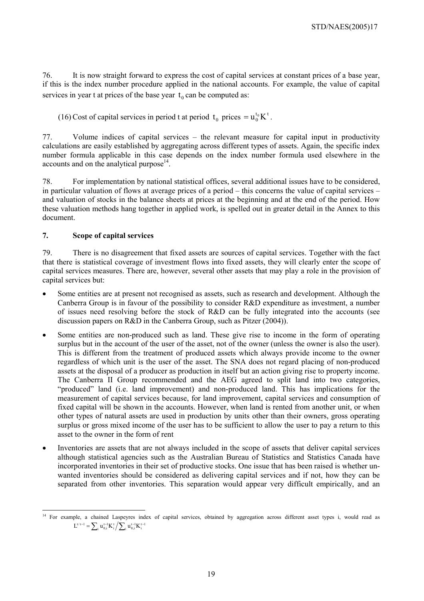76. It is now straight forward to express the cost of capital services at constant prices of a base year, if this is the index number procedure applied in the national accounts. For example, the value of capital services in year t at prices of the base year  $t_0$  can be computed as:

(16) Cost of capital services in period t at period  $t_0$  prices  $= u_0^{t_0} K^t$ .

77. Volume indices of capital services – the relevant measure for capital input in productivity calculations are easily established by aggregating across different types of assets. Again, the specific index number formula applicable in this case depends on the index number formula used elsewhere in the accounts and on the analytical purpose $^{14}$ .

78. For implementation by national statistical offices, several additional issues have to be considered, in particular valuation of flows at average prices of a period – this concerns the value of capital services – and valuation of stocks in the balance sheets at prices at the beginning and at the end of the period. How these valuation methods hang together in applied work, is spelled out in greater detail in the Annex to this document.

#### **7. Scope of capital services**

79. There is no disagreement that fixed assets are sources of capital services. Together with the fact that there is statistical coverage of investment flows into fixed assets, they will clearly enter the scope of capital services measures. There are, however, several other assets that may play a role in the provision of capital services but:

- Some entities are at present not recognised as assets, such as research and development. Although the Canberra Group is in favour of the possibility to consider R&D expenditure as investment, a number of issues need resolving before the stock of R&D can be fully integrated into the accounts (see discussion papers on R&D in the Canberra Group, such as Pitzer (2004)).
- Some entities are non-produced such as land. These give rise to income in the form of operating surplus but in the account of the user of the asset, not of the owner (unless the owner is also the user). This is different from the treatment of produced assets which always provide income to the owner regardless of which unit is the user of the asset. The SNA does not regard placing of non-produced assets at the disposal of a producer as production in itself but an action giving rise to property income. The Canberra II Group recommended and the AEG agreed to split land into two categories, "produced" land (i.e. land improvement) and non-produced land. This has implications for the measurement of capital services because, for land improvement, capital services and consumption of fixed capital will be shown in the accounts. However, when land is rented from another unit, or when other types of natural assets are used in production by units other than their owners, gross operating surplus or gross mixed income of the user has to be sufficient to allow the user to pay a return to this asset to the owner in the form of rent
- Inventories are assets that are not always included in the scope of assets that deliver capital services although statistical agencies such as the Australian Bureau of Statistics and Statistics Canada have incorporated inventories in their set of productive stocks. One issue that has been raised is whether unwanted inventories should be considered as delivering capital services and if not, how they can be separated from other inventories. This separation would appear very difficult empirically, and an

 $\overline{a}$ <sup>14</sup> For example, a chained Laspeyres index of capital services, obtained by aggregation across different asset types i, would read as  $L^{t/t-1} = \sum_{i} u_{0,i}^{t-1} K_i^t / \sum_{i} u_{0,i}^{t-1} K_i^{t-1}$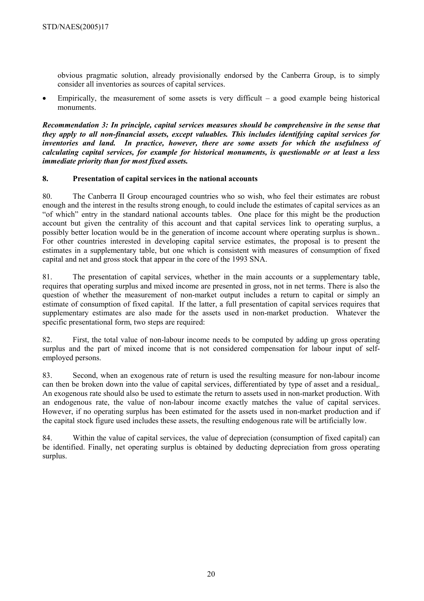obvious pragmatic solution, already provisionally endorsed by the Canberra Group, is to simply consider all inventories as sources of capital services.

Empirically, the measurement of some assets is very difficult  $-$  a good example being historical monuments.

*Recommendation 3: In principle, capital services measures should be comprehensive in the sense that they apply to all non-financial assets, except valuables. This includes identifying capital services for inventories and land. In practice, however, there are some assets for which the usefulness of calculating capital services, for example for historical monuments, is questionable or at least a less immediate priority than for most fixed assets.* 

# **8. Presentation of capital services in the national accounts**

80. The Canberra II Group encouraged countries who so wish, who feel their estimates are robust enough and the interest in the results strong enough, to could include the estimates of capital services as an "of which" entry in the standard national accounts tables. One place for this might be the production account but given the centrality of this account and that capital services link to operating surplus, a possibly better location would be in the generation of income account where operating surplus is shown.. For other countries interested in developing capital service estimates, the proposal is to present the estimates in a supplementary table, but one which is consistent with measures of consumption of fixed capital and net and gross stock that appear in the core of the 1993 SNA.

81. The presentation of capital services, whether in the main accounts or a supplementary table, requires that operating surplus and mixed income are presented in gross, not in net terms. There is also the question of whether the measurement of non-market output includes a return to capital or simply an estimate of consumption of fixed capital. If the latter, a full presentation of capital services requires that supplementary estimates are also made for the assets used in non-market production. Whatever the specific presentational form, two steps are required:

82. First, the total value of non-labour income needs to be computed by adding up gross operating surplus and the part of mixed income that is not considered compensation for labour input of selfemployed persons.

83. Second, when an exogenous rate of return is used the resulting measure for non-labour income can then be broken down into the value of capital services, differentiated by type of asset and a residual,. An exogenous rate should also be used to estimate the return to assets used in non-market production. With an endogenous rate, the value of non-labour income exactly matches the value of capital services. However, if no operating surplus has been estimated for the assets used in non-market production and if the capital stock figure used includes these assets, the resulting endogenous rate will be artificially low.

84. Within the value of capital services, the value of depreciation (consumption of fixed capital) can be identified. Finally, net operating surplus is obtained by deducting depreciation from gross operating surplus.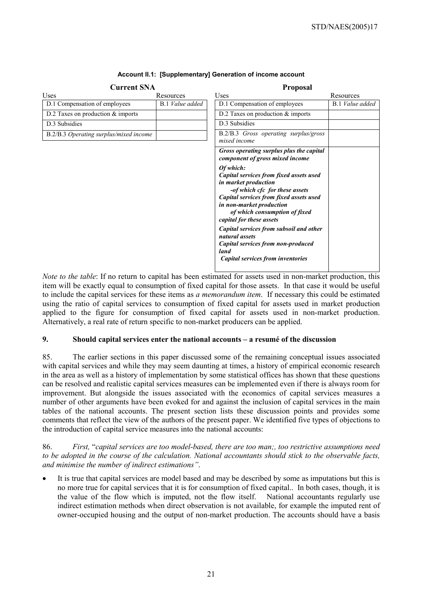| <b>Current SNA</b>                     |                        | <b>Proposal</b>                                                                                                                                                                                                                                    |                        |  |  |
|----------------------------------------|------------------------|----------------------------------------------------------------------------------------------------------------------------------------------------------------------------------------------------------------------------------------------------|------------------------|--|--|
| Uses                                   | Resources              | Uses                                                                                                                                                                                                                                               | Resources              |  |  |
| D.1 Compensation of employees          | <b>B.1</b> Value added | D.1 Compensation of employees                                                                                                                                                                                                                      | <b>B.1</b> Value added |  |  |
| D.2 Taxes on production $&$ imports    |                        | D.2 Taxes on production $&$ imports                                                                                                                                                                                                                |                        |  |  |
| D.3 Subsidies                          |                        | D.3 Subsidies                                                                                                                                                                                                                                      |                        |  |  |
| B.2/B.3 Operating surplus/mixed income |                        | B.2/B.3 Gross operating surplus/gross<br>mixed income                                                                                                                                                                                              |                        |  |  |
|                                        |                        | Gross operating surplus plus the capital<br>component of gross mixed income                                                                                                                                                                        |                        |  |  |
|                                        |                        | Of which:<br>Capital services from fixed assets used<br>in market production<br>-of which cfc for these assets<br>Capital services from fixed assets used<br>in non-market production<br>of which consumption of fixed<br>capital for these assets |                        |  |  |
|                                        |                        | Capital services from subsoil and other<br>natural assets<br>Capital services from non-produced<br>land<br>Capital services from inventories                                                                                                       |                        |  |  |

#### **Account II.1: [Supplementary] Generation of income account**

*Note to the table*: If no return to capital has been estimated for assets used in non-market production, this item will be exactly equal to consumption of fixed capital for those assets. In that case it would be useful to include the capital services for these items as *a memorandum item*. If necessary this could be estimated using the ratio of capital services to consumption of fixed capital for assets used in market production applied to the figure for consumption of fixed capital for assets used in non-market production. Alternatively, a real rate of return specific to non-market producers can be applied.

#### **9. Should capital services enter the national accounts – a resumé of the discussion**

85. The earlier sections in this paper discussed some of the remaining conceptual issues associated with capital services and while they may seem daunting at times, a history of empirical economic research in the area as well as a history of implementation by some statistical offices has shown that these questions can be resolved and realistic capital services measures can be implemented even if there is always room for improvement. But alongside the issues associated with the economics of capital services measures a number of other arguments have been evoked for and against the inclusion of capital services in the main tables of the national accounts. The present section lists these discussion points and provides some comments that reflect the view of the authors of the present paper. We identified five types of objections to the introduction of capital service measures into the national accounts:

86. *First,* "*capital services are too model-based, there are too man;, too restrictive assumptions need to be adopted in the course of the calculation. National accountants should stick to the observable facts, and minimise the number of indirect estimations"*.

It is true that capital services are model based and may be described by some as imputations but this is no more true for capital services that it is for consumption of fixed capital.. In both cases, though, it is the value of the flow which is imputed, not the flow itself. National accountants regularly use indirect estimation methods when direct observation is not available, for example the imputed rent of owner-occupied housing and the output of non-market production. The accounts should have a basis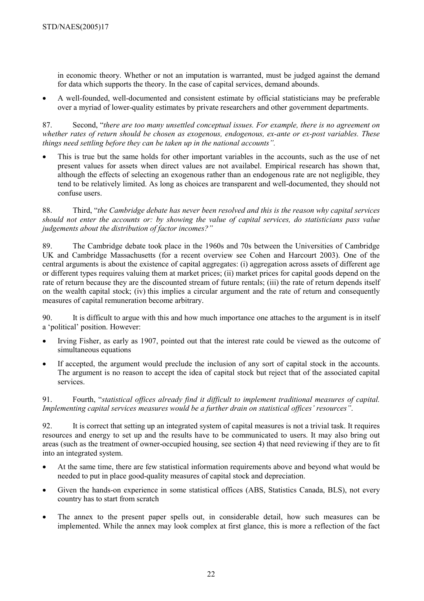in economic theory. Whether or not an imputation is warranted, must be judged against the demand for data which supports the theory. In the case of capital services, demand abounds.

• A well-founded, well-documented and consistent estimate by official statisticians may be preferable over a myriad of lower-quality estimates by private researchers and other government departments.

87. Second, "*there are too many unsettled conceptual issues. For example, there is no agreement on whether rates of return should be chosen as exogenous, endogenous, ex-ante or ex-post variables. These things need settling before they can be taken up in the national accounts".*

• This is true but the same holds for other important variables in the accounts, such as the use of net present values for assets when direct values are not availabel. Empirical research has shown that, although the effects of selecting an exogenous rather than an endogenous rate are not negligible, they tend to be relatively limited. As long as choices are transparent and well-documented, they should not confuse users.

88. Third, "*the Cambridge debate has never been resolved and this is the reason why capital services should not enter the accounts or: by showing the value of capital services, do statisticians pass value judgements about the distribution of factor incomes?"*

89. The Cambridge debate took place in the 1960s and 70s between the Universities of Cambridge UK and Cambridge Massachusetts (for a recent overview see Cohen and Harcourt 2003). One of the central arguments is about the existence of capital aggregates: (i) aggregation across assets of different age or different types requires valuing them at market prices; (ii) market prices for capital goods depend on the rate of return because they are the discounted stream of future rentals; (iii) the rate of return depends itself on the wealth capital stock; (iv) this implies a circular argument and the rate of return and consequently measures of capital remuneration become arbitrary.

90. It is difficult to argue with this and how much importance one attaches to the argument is in itself a 'political' position. However:

- Irving Fisher, as early as 1907, pointed out that the interest rate could be viewed as the outcome of simultaneous equations
- If accepted, the argument would preclude the inclusion of any sort of capital stock in the accounts. The argument is no reason to accept the idea of capital stock but reject that of the associated capital services.

91. Fourth, "*statistical offices already find it difficult to implement traditional measures of capital. Implementing capital services measures would be a further drain on statistical offices' resources"*.

92. It is correct that setting up an integrated system of capital measures is not a trivial task. It requires resources and energy to set up and the results have to be communicated to users. It may also bring out areas (such as the treatment of owner-occupied housing, see section 4) that need reviewing if they are to fit into an integrated system.

- At the same time, there are few statistical information requirements above and beyond what would be needed to put in place good-quality measures of capital stock and depreciation.
- Given the hands-on experience in some statistical offices (ABS, Statistics Canada, BLS), not every country has to start from scratch
- The annex to the present paper spells out, in considerable detail, how such measures can be implemented. While the annex may look complex at first glance, this is more a reflection of the fact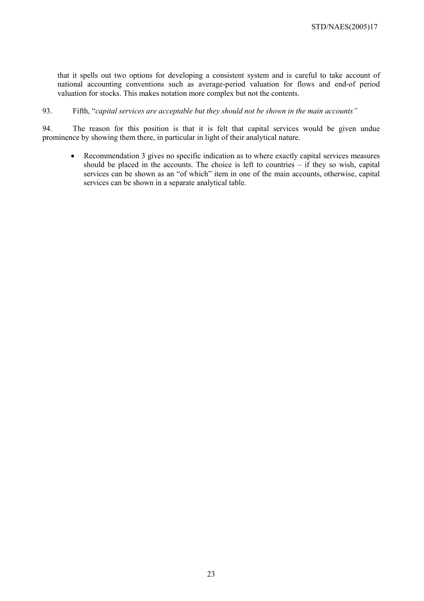that it spells out two options for developing a consistent system and is careful to take account of national accounting conventions such as average-period valuation for flows and end-of period valuation for stocks. This makes notation more complex but not the contents.

#### 93. Fifth, "*capital services are acceptable but they should not be shown in the main accounts"*

94. The reason for this position is that it is felt that capital services would be given undue prominence by showing them there, in particular in light of their analytical nature.

• Recommendation 3 gives no specific indication as to where exactly capital services measures should be placed in the accounts. The choice is left to countries – if they so wish, capital services can be shown as an "of which" item in one of the main accounts, otherwise, capital services can be shown in a separate analytical table.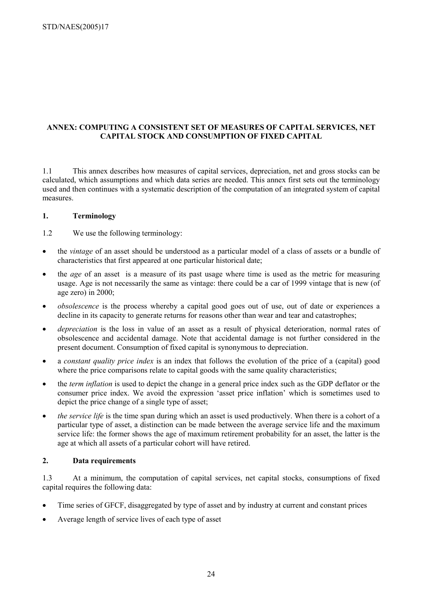# **ANNEX: COMPUTING A CONSISTENT SET OF MEASURES OF CAPITAL SERVICES, NET CAPITAL STOCK AND CONSUMPTION OF FIXED CAPITAL**

1.1 This annex describes how measures of capital services, depreciation, net and gross stocks can be calculated, which assumptions and which data series are needed. This annex first sets out the terminology used and then continues with a systematic description of the computation of an integrated system of capital measures.

#### **1. Terminology**

- 1.2 We use the following terminology:
- the *vintage* of an asset should be understood as a particular model of a class of assets or a bundle of characteristics that first appeared at one particular historical date;
- the *age* of an asset is a measure of its past usage where time is used as the metric for measuring usage. Age is not necessarily the same as vintage: there could be a car of 1999 vintage that is new (of age zero) in 2000;
- *obsolescence* is the process whereby a capital good goes out of use, out of date or experiences a decline in its capacity to generate returns for reasons other than wear and tear and catastrophes;
- *depreciation* is the loss in value of an asset as a result of physical deterioration, normal rates of obsolescence and accidental damage. Note that accidental damage is not further considered in the present document. Consumption of fixed capital is synonymous to depreciation.
- a *constant quality price index* is an index that follows the evolution of the price of a (capital) good where the price comparisons relate to capital goods with the same quality characteristics;
- the *term inflation* is used to depict the change in a general price index such as the GDP deflator or the consumer price index. We avoid the expression 'asset price inflation' which is sometimes used to depict the price change of a single type of asset;
- *the service life* is the time span during which an asset is used productively. When there is a cohort of a particular type of asset, a distinction can be made between the average service life and the maximum service life: the former shows the age of maximum retirement probability for an asset, the latter is the age at which all assets of a particular cohort will have retired.

#### **2. Data requirements**

1.3 At a minimum, the computation of capital services, net capital stocks, consumptions of fixed capital requires the following data:

- Time series of GFCF, disaggregated by type of asset and by industry at current and constant prices
- Average length of service lives of each type of asset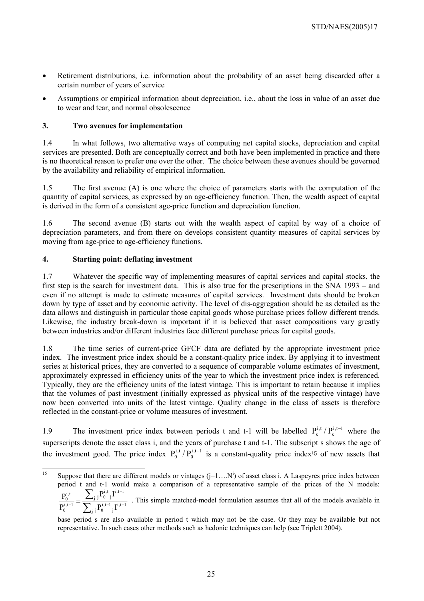- Retirement distributions, i.e. information about the probability of an asset being discarded after a certain number of years of service
- Assumptions or empirical information about depreciation, i.e., about the loss in value of an asset due to wear and tear, and normal obsolescence

# **3. Two avenues for implementation**

1.4 In what follows, two alternative ways of computing net capital stocks, depreciation and capital services are presented. Both are conceptually correct and both have been implemented in practice and there is no theoretical reason to prefer one over the other. The choice between these avenues should be governed by the availability and reliability of empirical information.

1.5 The first avenue (A) is one where the choice of parameters starts with the computation of the quantity of capital services, as expressed by an age-efficiency function. Then, the wealth aspect of capital is derived in the form of a consistent age-price function and depreciation function.

1.6 The second avenue (B) starts out with the wealth aspect of capital by way of a choice of depreciation parameters, and from there on develops consistent quantity measures of capital services by moving from age-price to age-efficiency functions.

# **4. Starting point: deflating investment**

1.7 Whatever the specific way of implementing measures of capital services and capital stocks, the first step is the search for investment data. This is also true for the prescriptions in the SNA 1993 – and even if no attempt is made to estimate measures of capital services. Investment data should be broken down by type of asset and by economic activity. The level of dis-aggregation should be as detailed as the data allows and distinguish in particular those capital goods whose purchase prices follow different trends. Likewise, the industry break-down is important if it is believed that asset compositions vary greatly between industries and/or different industries face different purchase prices for capital goods.

1.8 The time series of current-price GFCF data are deflated by the appropriate investment price index. The investment price index should be a constant-quality price index. By applying it to investment series at historical prices, they are converted to a sequence of comparable volume estimates of investment, approximately expressed in efficiency units of the year to which the investment price index is referenced. Typically, they are the efficiency units of the latest vintage. This is important to retain because it implies that the volumes of past investment (initially expressed as physical units of the respective vintage) have now been converted into units of the latest vintage. Quality change in the class of assets is therefore reflected in the constant-price or volume measures of investment.

1.9 The investment price index between periods t and t-1 will be labelled  $P_s^{i,t}/P_s^{i,t-1}$  where the superscripts denote the asset class i, and the years of purchase t and t-1. The subscript s shows the age of the investment good. The price index  $P_0^{i,t} / P_0^{i,t-1}$  is a constant-quality price index<sup>15</sup> of new assets that

 $15$ <sup>15</sup> Suppose that there are different models or vintages  $(j=1...N^i)$  of asset class i. A Laspeyres price index between period t and t-1 would make a comparison of a representative sample of the prices of the N models: ∑ −  ${}_{\mathbf{j}}\mathbf{P}_{0}^{\text{i,t}}$   ${}_{\mathbf{j}}\mathbf{I}^{\text{i,t-1}}$  ${\rm P}_0^{\rm i, t}$  . I

<sup>∑</sup>  $-1$   $\mathbf{I}^{i,t-}$  $\frac{1}{-1}$  = j  ${}_{i}P_{0}^{i,t-1}{}_{i}I^{i,t-1}$ j  $\begin{array}{c} 0, t-1 \end{array}$ i,t 0  $P_0^{1,t-1}$  i P  $\frac{P_0^{i,t}}{P_0^{i,t}} = \frac{\sum_j P_0^{i,t}}{P_0^{i,t}}$ . This simple matched-model formulation assumes that all of the models available in

base period s are also available in period t which may not be the case. Or they may be available but not representative. In such cases other methods such as hedonic techniques can help (see Triplett 2004).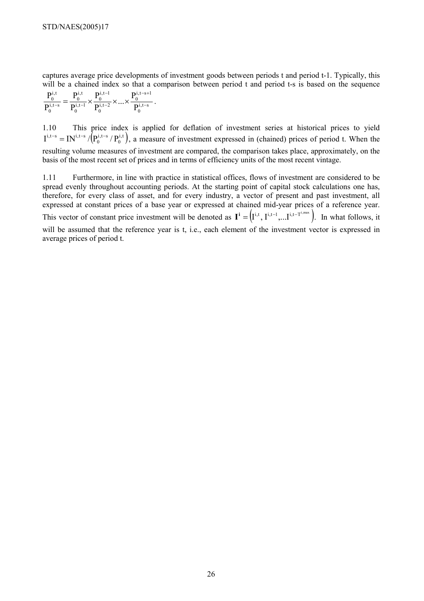captures average price developments of investment goods between periods t and period t-1. Typically, this will be a chained index so that a comparison between period t and period t-s is based on the sequence

$$
\frac{P_0^{i,t}}{P_0^{i,t-s}} = \frac{P_0^{i,t}}{P_0^{i,t-1}} \times \frac{P_0^{i,t-1}}{P_0^{i,t-2}} \times ... \times \frac{P_0^{i,t-s+1}}{P_0^{i,t-s}} \ .
$$

1.10 This price index is applied for deflation of investment series at historical prices to yield  $\left( \mathbf{P_{0}^{i,t-s}}\left/ \mathbf{P_{0}^{i,t}}\right) \right)$  $i,t-s$  $I^{i,t-s} = IN^{i,t-s}/(P_0^{i,t-s}/P_0^{i,t})$ , a measure of investment expressed in (chained) prices of period t. When the resulting volume measures of investment are compared, the comparison takes place, approximately, on the basis of the most recent set of prices and in terms of efficiency units of the most recent vintage.

1.11 Furthermore, in line with practice in statistical offices, flows of investment are considered to be spread evenly throughout accounting periods. At the starting point of capital stock calculations one has, therefore, for every class of asset, and for every industry, a vector of present and past investment, all expressed at constant prices of a base year or expressed at chained mid-year prices of a reference year.

This vector of constant price investment will be denoted as  $I^i = (I^{i,t}, I^{i,t-1}, \ldots, I^{i,t-T^{i,max}})$ . In what follows, it

will be assumed that the reference year is t, i.e., each element of the investment vector is expressed in average prices of period t.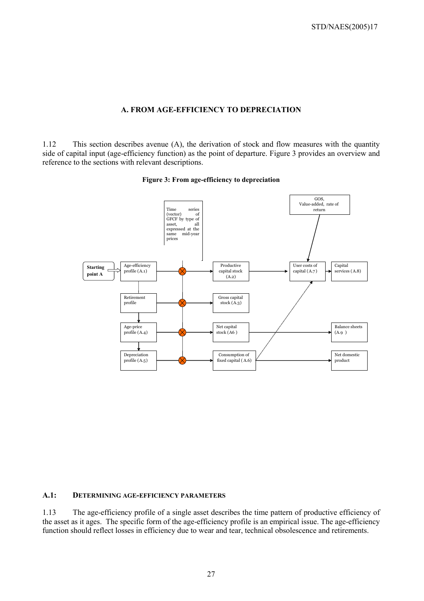#### **A. FROM AGE-EFFICIENCY TO DEPRECIATION**

1.12 This section describes avenue (A), the derivation of stock and flow measures with the quantity side of capital input (age-efficiency function) as the point of departure. Figure 3 provides an overview and reference to the sections with relevant descriptions.





#### **A.1: DETERMINING AGE-EFFICIENCY PARAMETERS**

1.13 The age-efficiency profile of a single asset describes the time pattern of productive efficiency of the asset as it ages. The specific form of the age-efficiency profile is an empirical issue. The age-efficiency function should reflect losses in efficiency due to wear and tear, technical obsolescence and retirements.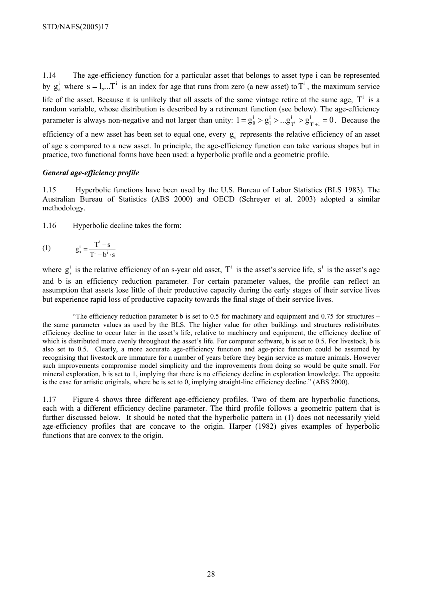1.14 The age-efficiency function for a particular asset that belongs to asset type i can be represented by  $g_s^i$  where  $s = 1,...T^i$  is an index for age that runs from zero (a new asset) to  $T^i$ , the maximum service life of the asset. Because it is unlikely that all assets of the same vintage retire at the same age,  $T^i$  is a random variable, whose distribution is described by a retirement function (see below). The age-efficiency parameter is always non-negative and not larger than unity:  $1 = g_0^i > g_1^i > ... g_{T^i}^i > g_{T^i+1}^i = 0$ i T i  $= g_0^i > g_1^i > ... g_{T^i}^i > g_{T^i+1}^i = 0$ . Because the efficiency of a new asset has been set to equal one, every  $g_s^i$  represents the relative efficiency of an asset of age s compared to a new asset. In principle, the age-efficiency function can take various shapes but in practice, two functional forms have been used: a hyperbolic profile and a geometric profile.

#### *General age-efficiency profile*

1.15 Hyperbolic functions have been used by the U.S. Bureau of Labor Statistics (BLS 1983). The Australian Bureau of Statistics (ABS 2000) and OECD (Schreyer et al. 2003) adopted a similar methodology.

1.16 Hyperbolic decline takes the form:

(1) 
$$
g_s^i = \frac{T^i - s}{T^i - b^i \cdot s}
$$

where  $g_s^i$  is the relative efficiency of an s-year old asset,  $T^i$  is the asset's service life, s<sup>i</sup> is the asset's age and b is an efficiency reduction parameter. For certain parameter values, the profile can reflect an assumption that assets lose little of their productive capacity during the early stages of their service lives but experience rapid loss of productive capacity towards the final stage of their service lives.

 "The efficiency reduction parameter b is set to 0.5 for machinery and equipment and 0.75 for structures – the same parameter values as used by the BLS. The higher value for other buildings and structures redistributes efficiency decline to occur later in the asset's life, relative to machinery and equipment, the efficiency decline of which is distributed more evenly throughout the asset's life. For computer software, b is set to 0.5. For livestock, b is also set to 0.5. Clearly, a more accurate age-efficiency function and age-price function could be assumed by recognising that livestock are immature for a number of years before they begin service as mature animals. However such improvements compromise model simplicity and the improvements from doing so would be quite small. For mineral exploration, b is set to 1, implying that there is no efficiency decline in exploration knowledge. The opposite is the case for artistic originals, where be is set to 0, implying straight-line efficiency decline." (ABS 2000).

1.17 Figure 4 shows three different age-efficiency profiles. Two of them are hyperbolic functions, each with a different efficiency decline parameter. The third profile follows a geometric pattern that is further discussed below. It should be noted that the hyperbolic pattern in (1) does not necessarily yield age-efficiency profiles that are concave to the origin. Harper (1982) gives examples of hyperbolic functions that are convex to the origin.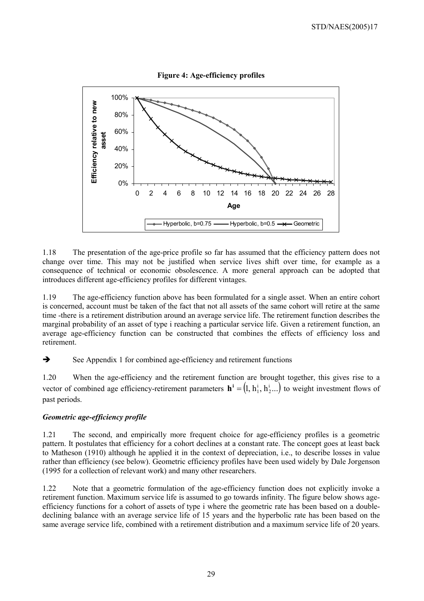

1.18 The presentation of the age-price profile so far has assumed that the efficiency pattern does not change over time. This may not be justified when service lives shift over time, for example as a consequence of technical or economic obsolescence. A more general approach can be adopted that introduces different age-efficiency profiles for different vintages.

1.19 The age-efficiency function above has been formulated for a single asset. When an entire cohort is concerned, account must be taken of the fact that not all assets of the same cohort will retire at the same time -there is a retirement distribution around an average service life. The retirement function describes the marginal probability of an asset of type i reaching a particular service life. Given a retirement function, an average age-efficiency function can be constructed that combines the effects of efficiency loss and retirement.

 $\rightarrow$  See Appendix 1 for combined age-efficiency and retirement functions

1.20 When the age-efficiency and the retirement function are brought together, this gives rise to a vector of combined age efficiency-retirement parameters  $\mathbf{h}^i = (1, h_1^i, h_2^i...)$  to weight investment flows of past periods.

# *Geometric age-efficiency profile*

1.21 The second, and empirically more frequent choice for age-efficiency profiles is a geometric pattern. It postulates that efficiency for a cohort declines at a constant rate. The concept goes at least back to Matheson (1910) although he applied it in the context of depreciation, i.e., to describe losses in value rather than efficiency (see below). Geometric efficiency profiles have been used widely by Dale Jorgenson (1995 for a collection of relevant work) and many other researchers.

1.22 Note that a geometric formulation of the age-efficiency function does not explicitly invoke a retirement function. Maximum service life is assumed to go towards infinity. The figure below shows ageefficiency functions for a cohort of assets of type i where the geometric rate has been based on a doubledeclining balance with an average service life of 15 years and the hyperbolic rate has been based on the same average service life, combined with a retirement distribution and a maximum service life of 20 years.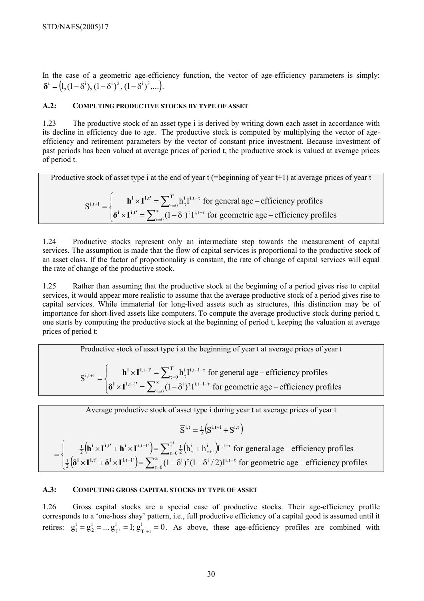In the case of a geometric age-efficiency function, the vector of age-efficiency parameters is simply:  $\delta^{i} = (1,(1-\delta^{i}), (1-\delta^{i})^{2}, (1-\delta^{i})^{3} \dots).$ 

#### **A.2: COMPUTING PRODUCTIVE STOCKS BY TYPE OF ASSET**

1.23 The productive stock of an asset type i is derived by writing down each asset in accordance with its decline in efficiency due to age. The productive stock is computed by multiplying the vector of ageefficiency and retirement parameters by the vector of constant price investment. Because investment of past periods has been valued at average prices of period t, the productive stock is valued at average prices of period t.

Productive stock of asset type i at the end of year  $t$  (=beginning of year  $t+1$ ) at average prices of year t  $\overline{\mathcal{L}}$  $\vert$ ₹  $\left\{ \right\}$  $\times I^{i,t'} = \sum_{n=0}^{\infty} (1-\delta^i)^T I^{i,t-\tau}$  for geometric age –  $=$   $\left\{\n\begin{array}{c}\n\mathbf{h}^i \times \mathbf{I}^{i,t'} = \sum_{\tau=0}^1 h_\tau^i \mathbf{I}^{i,t-\tau} \text{ for general age} - \n\end{array}\n\right.$ ∑ ∑∞ τ=  $\tau$   $\tau$ i, t $-\tau$ τ= −τ  $_{+1}$   $_{-1}$   $_{-1}$   $_{-1}$   $_{-1}$   $_{-1}$   $_{-1}$   $_{-1}$   $_{-1}$   $_{\tau_{-1}}$   $_{0}$   $_{11}$   $_{\tau_{-1}}$  $(1 - \delta^i)^T I^{i,t-\tau}$  for geometric age – efficiency profiles  $h_{\tau}^{\text{I},t-\tau}$  for general age – efficiency profiles S 0 ,t'  $\sum^{\infty}$  (1 si)tri,t T 0 ,t'  $\equiv \nabla^{\rm T}$  i, i  $\mathbf{I}^{\rm i,t}$  $i,t+1$ i  $\mathbf{i} \cup \mathbf{I}$ **i**,t<sup>'</sup>  $\mathbf{i} \cup \mathbf{T}$ **i**,t<sup>'</sup>  $\delta^i \times I$  $h^i \times I$ 

1.24 Productive stocks represent only an intermediate step towards the measurement of capital services. The assumption is made that the flow of capital services is proportional to the productive stock of an asset class. If the factor of proportionality is constant, the rate of change of capital services will equal the rate of change of the productive stock.

1.25 Rather than assuming that the productive stock at the beginning of a period gives rise to capital services, it would appear more realistic to assume that the average productive stock of a period gives rise to capital services. While immaterial for long-lived assets such as structures, this distinction may be of importance for short-lived assets like computers. To compute the average productive stock during period t, one starts by computing the productive stock at the beginning of period t, keeping the valuation at average prices of period t:

Productive stock of asset type i at the beginning of year t at average prices of year t

 $\overline{\mathcal{L}}$  $\mathbf{I}$ ┤  $\left($  $\times I^{i,t-l'} = \sum_{i=0}^{\infty} (1-\delta^{i})^{\tau} I^{i,t-l-\tau}$  for geometric age –  $=$   $\begin{cases} \mathbf{h}^{\mathbf{i}} \times \mathbf{I}^{i,t-1} = \sum_{\tau=0}^{1} h_{\tau}^{\mathbf{i}} \mathbf{I}^{i,t-1-\tau} \end{cases}$  for general age – ∑ ∑∞ τ= − τ − −τ  $\tau =$  $-1-\tau$ τ − +  $(1 - \delta^i)^T I^{i, t-1-\tau}$  for geometric age – efficiency profiles  $h^i_\tau I^{i,t-l-\tau}$  for general age – efficiency profiles S  $\boldsymbol{0}$  $t-1' = \nabla^{\infty}$  (1  $\sin \tau i$ , t-1 T 0 ,t-1'  $\sum$ <sup>T</sup> **h** i **r**i,t-1  $i$ , t + 1 i  $i \vee \mathbf{I}^{i,t-1}$  $\mathbf{i} \cup \mathbf{I}^{\mathbf{i}, \mathbf{t}-\mathbf{l}'}$  $\delta^i \times I$  $h^i \times I$ 

Average productive stock of asset type i during year t at average prices of year t

 $\overline{S}^{i,t} = \frac{1}{2} (S^{i,t+1} + S^{i,t})$  $i, t = \frac{1}{2}$ 

 $(\mathbf{h}^{i} \times \mathbf{I}^{i,t'} + \mathbf{h}^{i} \times \mathbf{I}^{i,t-1'}) = \sum_{i=0}^{1} \frac{1}{2} (\mathbf{h}^{i}_{\tau} + \mathbf{h}^{i}_{\tau+1})$  $\left( \frac{1}{2} \left( \delta^i \times I^{i,t'} + \delta^i \times I^{i,t-1'} \right) \right)$  $\vert$ ┤  $\left($  $\times I^{i,t'} + \delta^i \times I^{i,t-1'}$  =  $\sum_{i=0}^{\infty} (1-\delta^i)^{\tau} (1-\delta^i/2) I^{i,t-\tau}$  for geometric age –  $= \begin{cases} \frac{1}{2} \left( \mathbf{h}^i \times \mathbf{I}^{i,t'} + \mathbf{h}^i \times \mathbf{I}^{i,t-l'} \right) = \sum_{\tau=0}^{1} \frac{1}{2} \left( h^i_{\tau} + h^i_{\tau+1} \right) \mathbf{I}^{i,t-\tau} \text{ for general age } - \end{cases}$ ∑  $=\sum_{\infty}$  $\tau=$  $\mathbb{Z}^{-1}$   $\Big)$   $\Big\|$   $\mathbb{\nabla}^{\infty}$   $(1 \quad \mathbb{S}^{1})^{\tau}(1 \quad \mathbb{S}^{1}/2)$   $\mathbb{T}^{1,1-\tau}$ τ= −τ  $_{\tau}$  +  $\mathbf{u}_{\tau+}$ −  $(1 - \delta^i)^{\tau} (1 - \delta^i / 2) I^{i,t-\tau}$  for geometric age – efficiency profiles  $h_{\tau}^{i} + h_{\tau+1}^{i}$  I<sup>i,t- $\tau$ </sup> for general age – efficiency profiles  $\boldsymbol{0}$ ,t'  $\mathbf{x}$ i  $\mathbf{u}$  i,t-l' $\mathbf{L} = \nabla^{\infty}$  (1  $\mathbf{x}$ i  $\mathbf{u}$   $\mathbf{x}$ i  $\mathbf{v}$ ) i,t  $\frac{1}{2}$ T 0 i **\**ri,t 1 i  $\frac{1}{2} \Big(\!\mathbf{h}^{\mathbf{i}} \!\times\! \mathbf{I}^{\mathbf{i}, \mathbf{t}^{\mathbf{\prime}}} + \mathbf{h}^{\mathbf{i}} \!\times\! \mathbf{I}^{\mathbf{i}, \mathbf{t} - \mathbf{l}^{\mathbf{\prime}}} \Big) \!\!= \sum\nolimits_{\tau = 0}^{\mathbf{T}^{\mathbf{i}}} \! \frac{1}{2}$  $\mathbf{i} \cup \mathbf{I}$ **i**,t'  $\mathbf{j} \times \mathbf{k}$  ii,t-l'  $\mathbf{i} \cup \mathbf{I}^{\mathbf{i}, \mathbf{t}'}$  ,  $\mathbf{k}^{\mathbf{i}} \cup \mathbf{I}^{\mathbf{i}, \mathbf{t}-\mathbf{l}'}$  $\delta^i \times I^{i,t'} + \delta^i \times I$  $\mathbf{h}^i \times \mathbf{I}^{i,t'} + \mathbf{h}^i \times \mathbf{I}$ 

#### **A.3: COMPUTING GROSS CAPITAL STOCKS BY TYPE OF ASSET**

1.26 Gross capital stocks are a special case of productive stocks. Their age-efficiency profile corresponds to a 'one-hoss shay' pattern, i.e., full productive efficiency of a capital good is assumed until it retires:  $g_1^i = g_2^i = ... g_{T^i}^i = 1; g_{T^i+1}^i = 0$ i T i 2  $j_1^i = g_2^i = ... g_{T^i}^i = 1$ ;  $g_{T^i+1}^i = 0$ . As above, these age-efficiency profiles are combined with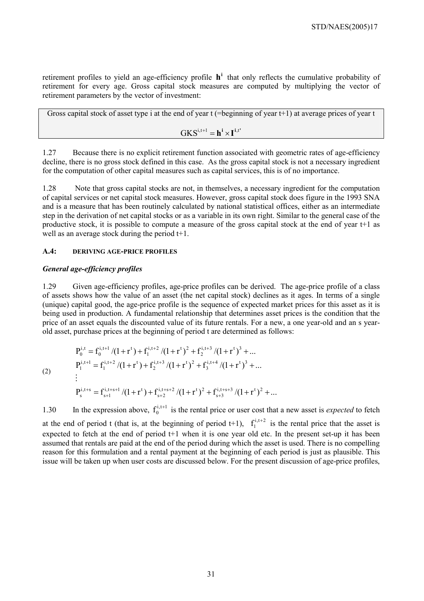retirement profiles to yield an age-efficiency profile  $h^i$  that only reflects the cumulative probability of retirement for every age. Gross capital stock measures are computed by multiplying the vector of retirement parameters by the vector of investment:

Gross capital stock of asset type i at the end of year t (=beginning of year t+1) at average prices of year t  
\n
$$
GKS^{i,t+1} = \mathbf{h}^i \times \mathbf{I}^{i,t'}
$$

1.27 Because there is no explicit retirement function associated with geometric rates of age-efficiency decline, there is no gross stock defined in this case. As the gross capital stock is not a necessary ingredient for the computation of other capital measures such as capital services, this is of no importance.

1.28 Note that gross capital stocks are not, in themselves, a necessary ingredient for the computation of capital services or net capital stock measures. However, gross capital stock does figure in the 1993 SNA and is a measure that has been routinely calculated by national statistical offices, either as an intermediate step in the derivation of net capital stocks or as a variable in its own right. Similar to the general case of the productive stock, it is possible to compute a measure of the gross capital stock at the end of year t+1 as well as an average stock during the period t+1.

#### **A.4: DERIVING AGE-PRICE PROFILES**

#### *General age-efficiency profiles*

1.29 Given age-efficiency profiles, age-price profiles can be derived. The age-price profile of a class of assets shows how the value of an asset (the net capital stock) declines as it ages. In terms of a single (unique) capital good, the age-price profile is the sequence of expected market prices for this asset as it is being used in production. A fundamental relationship that determines asset prices is the condition that the price of an asset equals the discounted value of its future rentals. For a new, a one year-old and an s yearold asset, purchase prices at the beginning of period t are determined as follows:

$$
(2)
$$

$$
\begin{aligned} P_0^{i,t} &= f_0^{i,t+1}/(1+r^t) + f_1^{i,t+2}/(1+r^t)^2 + f_2^{i,t+3}/(1+r^t)^3 + \dots \\ P_1^{i,t+1} &= f_1^{i,t+2}/(1+r^t) + f_2^{i,t+3}/(1+r^t)^2 + f_3^{i,t+4}/(1+r^t)^3 + \dots \\ & \vdots \\ P_s^{i,t+s} &= f_{s+1}^{i,t+s+1}/(1+r^t) + f_{s+2}^{i,t+s+2}/(1+r^t)^2 + f_{s+3}^{i,t+s+3}/(1+r^t)^2 + \dots \end{aligned}
$$

1.30 In the expression above,  $f_0^{i,t+1}$  is the rental price or user cost that a new asset is *expected* to fetch

at the end of period t (that is, at the beginning of period t+1),  $f_1^{i,t+2}$  is the rental price that the asset is expected to fetch at the end of period t<sup>+1</sup> when it is one year old etc. In the present set-up it has been assumed that rentals are paid at the end of the period during which the asset is used. There is no compelling reason for this formulation and a rental payment at the beginning of each period is just as plausible. This issue will be taken up when user costs are discussed below. For the present discussion of age-price profiles,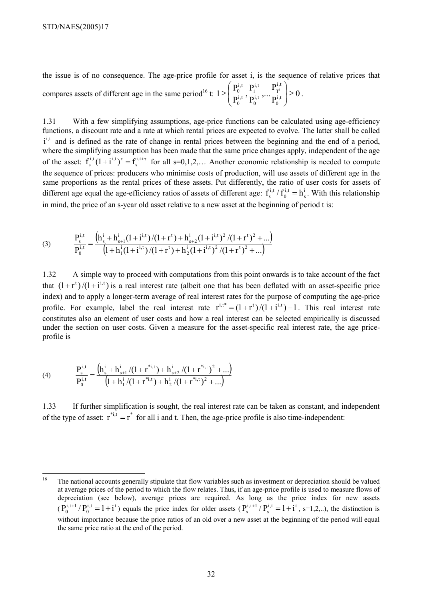the issue is of no consequence. The age-price profile for asset i, is the sequence of relative prices that compares assets of different age in the same period<sup>16</sup> t:  $1 \ge \left| \frac{1}{n+1}, \frac{1}{n+1}, \dots, \frac{1}{n+1} \right| \ge 0$  $1 \geq \left( \frac{P_0^{i,t}}{P_0^{i,t}}, \frac{P_1^{i,t}}{P_0^{i,t}}, \dots, \frac{P_T^{i,t}}{P_0^{i,t}} \right)$ 0 i,t T i,t 0 i,t 1 i,t 0  $\left\{\frac{\overline{p}_1^{\mathrm{i},\mathrm{t}}}{\overline{p}_1^{\mathrm{i},\mathrm{t}}},...,\frac{\overline{p}_1^{\mathrm{i},\mathrm{t}}}{\overline{p}_1^{\mathrm{i},\mathrm{t}}}\right\} \geq$ J  $\backslash$  $\mathsf{I}$  $\mathsf{I}$  $\setminus$ ſ  $\geq \frac{1}{2} \frac{1}{2} \frac{1}{2} \frac{1}{2} \frac{1}{2} \cdots \frac{1}{2} \frac{1}{2} \geq 0$ .

1.31 With a few simplifying assumptions, age-price functions can be calculated using age-efficiency functions, a discount rate and a rate at which rental prices are expected to evolve. The latter shall be called  $i^{i,t}$  and is defined as the rate of change in rental prices between the beginning and the end of a period, where the simplifying assumption has been made that the same price changes apply, independent of the age of the asset:  $f_s^{i,t}(1+i^{i,t})^{\tau} = f_s^{i,t+\tau}$  $f_s^{i,t} (1+i^{i,t})^{\tau} = f_s^{i,t+\tau}$  for all s=0,1,2,... Another economic relationship is needed to compute the sequence of prices: producers who minimise costs of production, will use assets of different age in the same proportions as the rental prices of these assets. Put differently, the ratio of user costs for assets of different age equal the age-efficiency ratios of assets of different age:  $f_s^{i,t}/f_0^{i,t} = h_s^{i,t}$ i,t 0  $f_s^{i,t} / f_0^{i,t} = h_s^i$ . With this relationship in mind, the price of an s-year old asset relative to a new asset at the beginning of period t is:

(3) 
$$
\frac{P_s^{i,t}}{P_0^{i,t}} = \frac{(h_s^i + h_{s+1}^i(1+i^{i,t})/(1+r^t) + h_{s+2}^i(1+i^{i,t})^2/(1+r^t)^2 + ...)}{(1+h_1^i(1+i^{i,t})/(1+r^t) + h_2^i(1+i^{i,t})^2/(1+r^t)^2 + ...)}
$$

1.32 A simple way to proceed with computations from this point onwards is to take account of the fact that  $(1+r^t)/(1+i^{i,t})$  is a real interest rate (albeit one that has been deflated with an asset-specific price index) and to apply a longer-term average of real interest rates for the purpose of computing the age-price profile. For example, label the real interest rate  $r^{i,t^*} = (1 + r^t)/(1 + i^{i,t}) - 1$ . This real interest rate constitutes also an element of user costs and how a real interest can be selected empirically is discussed under the section on user costs. Given a measure for the asset-specific real interest rate, the age priceprofile is

(4) 
$$
\frac{P_s^{i,t}}{P_0^{i,t}} = \frac{(h_s^i + h_{s+1}^i/(1+r^{*i,t}) + h_{s+2}^i/(1+r^{*i,t})^2 + ...)}{(1+h_1^i/(1+r^{*i,t}) + h_2^i/(1+r^{*i,t})^2 + ...)}
$$

1.33 If further simplification is sought, the real interest rate can be taken as constant, and independent of the type of asset:  $r^{*i,t} = r^*$  for all i and t. Then, the age-price profile is also time-independent:

<sup>16</sup> 16 The national accounts generally stipulate that flow variables such as investment or depreciation should be valued at average prices of the period to which the flow relates. Thus, if an age-price profile is used to measure flows of depreciation (see below), average prices are required. As long as the price index for new assets  $(P_0^{i,t+1}/P_0^{i,t} = 1+i^t)$  $P_0^{i,t+1}/P_0^{i,t} = 1+i^t$ ) equals the price index for older assets  $(P_s^{i,t+1}/P_s^{i,t} = 1+i^t)$  $P_s^{i,t+1}/P_s^{i,t} = 1+i^t$ , s=1,2,..), the distinction is without importance because the price ratios of an old over a new asset at the beginning of the period will equal the same price ratio at the end of the period.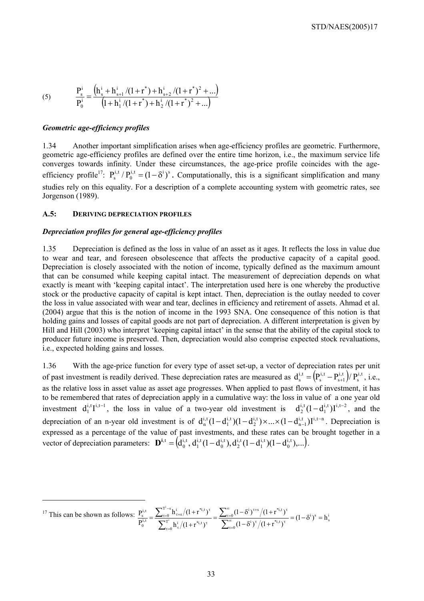(5) 
$$
\frac{P_s^i}{P_0^i} = \frac{(h_s^i + h_{s+1}^i/(1+r^*) + h_{s+2}^i/(1+r^*)^2 + ...)}{(1+h_1^i/(1+r^*) + h_2^i/(1+r^*)^2 + ...)}
$$

#### *Geometric age-efficiency profiles*

 $\overline{a}$ 

1.34 Another important simplification arises when age-efficiency profiles are geometric. Furthermore, geometric age-efficiency profiles are defined over the entire time horizon, i.e., the maximum service life converges towards infinity. Under these circumstances, the age-price profile coincides with the ageefficiency profile<sup>17</sup>:  $P_s^{i,t}/P_0^{i,t} = (1 - \delta^i)^s$ 0  $P_s^{i,t}/P_0^{i,t} = (1 - \delta^i)^s$ . Computationally, this is a significant simplification and many studies rely on this equality. For a description of a complete accounting system with geometric rates, see Jorgenson (1989).

#### **A.5: DERIVING DEPRECIATION PROFILES**

#### *Depreciation profiles for general age-efficiency profiles*

1.35 Depreciation is defined as the loss in value of an asset as it ages. It reflects the loss in value due to wear and tear, and foreseen obsolescence that affects the productive capacity of a capital good. Depreciation is closely associated with the notion of income, typically defined as the maximum amount that can be consumed while keeping capital intact. The measurement of depreciation depends on what exactly is meant with 'keeping capital intact'. The interpretation used here is one whereby the productive stock or the productive capacity of capital is kept intact. Then, depreciation is the outlay needed to cover the loss in value associated with wear and tear, declines in efficiency and retirement of assets. Ahmad et al. (2004) argue that this is the notion of income in the 1993 SNA. One consequence of this notion is that holding gains and losses of capital goods are not part of depreciation. A different interpretation is given by Hill and Hill (2003) who interpret 'keeping capital intact' in the sense that the ability of the capital stock to producer future income is preserved. Then, depreciation would also comprise expected stock revaluations, i.e., expected holding gains and losses.

1.36 With the age-price function for every type of asset set-up, a vector of depreciation rates per unit of past investment is readily derived. These depreciation rates are measured as  $d_s^{i,t} = (P_s^{i,t} - P_{s+1}^{i,t})/P_s^{i,t}$ i,t  $s + 1$ i,t  $d_s^{i,t} = (P_s^{i,t} - P_{s+1}^{i,t})/P_s^{i,t}$ , i.e., as the relative loss in asset value as asset age progresses. When applied to past flows of investment, it has to be remembered that rates of depreciation apply in a cumulative way: the loss in value of a one year old investment  $d_1^{i,t}I^{i,t-1}$ , the loss in value of a two-year old investment is  $d_2^{i,t}(1-d_1^{i,t})I^{i,t-2}$  $d_2^{i,t}(1-d_1^{i,t})I^{i,t-2}$ , and the depreciation of an n-year old investment is of  $d_n^{i,t} (1 - d_1^{i,t}) (1 - d_2^{i,t}) \times ... \times (1 - d_{n-1}^{i,t}) I^{i,t-n}$ i,t 2 i,t 1  $d_n^{i,t} (1 - d_1^{i,t}) (1 - d_2^{i,t}) \times ... \times (1 - d_{n-1}^{i,t}) I^{i,t-n}$ . Depreciation is expressed as a percentage of the value of past investments, and these rates can be brought together in a vector of depreciation parameters:  $\mathbf{D}^{i,t} = (d_0^{i,t}, d_1^{i,t} (1 - d_0^{i,t}), d_2^{i,t} (1 - d_1^{i,t}) (1 - d_0^{i,t}),...)$ i,t 1 i,t 2 i,t 0 i,t 1 i,t  $\mathbf{D}^{\mathbf{i},\mathbf{t}} = (\mathbf{d}_0^{\mathbf{i},\mathbf{t}}, \mathbf{d}_1^{\mathbf{i},\mathbf{t}} (1 - \mathbf{d}_0^{\mathbf{i},\mathbf{t}}), \mathbf{d}_2^{\mathbf{i},\mathbf{t}} (1 - \mathbf{d}_1^{\mathbf{i},\mathbf{t}}) (1 - \mathbf{d}_0^{\mathbf{i},\mathbf{t}}), \ldots).$ 

<sup>17</sup> This can be shown as follows:  $\frac{P_{\text{s}}^{1,t}}{P_{\text{s}}^{1,t}} = \frac{\sum_{\tau=0} h_{\tau+s}^1/(1+r_{\text{s}}^1)^t}{\sum_{\tau=0}^{T^1} (1+r_{\text{s}}^1)^{1-t}} = \frac{\sum_{\tau=0} (1-\delta^1)^{\text{ss}}/(1+r_{\text{s}}^1)^t}{\sum_{\tau=0}^{\infty} (1-\delta^1)^{1-t}} = (1-\delta^1)^s = h_s^1$  $\boldsymbol{0}$  $i \lambda^{\tau}$  /(1,  $\cdot$ \*i,t 0  $i \int t + s \int t^2$   $\frac{1}{t^2}$ , t T 0 i  $/1 + i$ ,t  $T^1 - s$  $\mathbf{0}$  $\frac{1}{\tau+s}/(1+r^{*i, t})$ i,t 0  $\frac{1}{s} = \frac{\sum_{\tau=0}^{1-s} h_{\tau+s}^i/(1+\tau^{*i,t})^{\tau}}{\tau^{*i}} = \frac{\sum_{\tau=0}^{s} (1-\delta^{t})^{\tau+s}/(1+\tau^{*i,t})^{\tau}}{(1+\tau^{*i,t})^{\tau}} = (1-\delta^{i})^s = h$  $(1-\delta^{\iota})^{\tau}/(1+r^{*_{\iota,t}})$  $(1 - \delta^{i})^{\tau+s} / (1 + r^{*i, t})$  $h_{\tau}^{i}/(1+r^{*_{i,t}})$  $h_{\tau+s}^i/(1+r^{*i,t})$ P  $\frac{P_{s}^{i,t}}{P_{s}^{i,t}} = \frac{\sum_{\tau=0}^{t}}{\sum_{\tau=0}^{t}}$ i  $=\frac{\sum_{\tau=0}^{8} (1-\delta^{i})^{\tau+s} / (1+r^{*i,t})^{\tau}}{\sum_{\alpha=0}^{8} (1-\delta^{i})^{\tau} / (1+r^{*i,t})^{\tau}} = (1-\delta^{i})^{8} =$ +  $= \frac{\sum_{\tau=0}^{1-8} h_{\tau+s}^i/(1+$ ∑ ∑ ∑  $\frac{\sum_{\tau=0}^{T-s} h_{\tau+s}^i/(1+r^{*i,t})^\tau}{\sum_{\tau=i}^{T^i} h_{\tau}^i/(1+r^{*i,t})^\tau} = \frac{\sum_{\tau=i}^{T^\infty} h_{\tau}^i}{\sum_{\tau=i}^{T^\infty} h_{\tau}^i}$ τ= τ /<sub>(1 - π</sub>\*i,t ντ ∞ τ= τ+s  $/1$ ,  $\frac{1}{2}$ ,  $\frac{1}{2}$ ,  $\frac{1}{2}$ τ=  $\frac{1}{\tau} \big/ (1 + r^{*i, t})^{\tau}$ − τ=  $t_{\tau+s} (1+r^{*i,t})^{\tau}$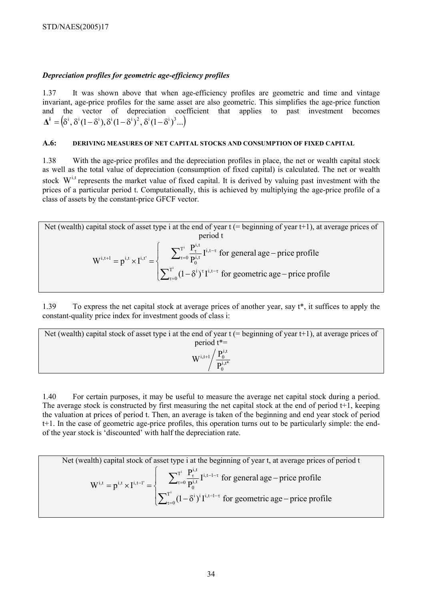# *Depreciation profiles for geometric age-efficiency profiles*

1.37 It was shown above that when age-efficiency profiles are geometric and time and vintage invariant, age-price profiles for the same asset are also geometric. This simplifies the age-price function and the vector of depreciation coefficient that applies to past investment becomes  $\mathbf{\Lambda}^i = (\delta^i, \delta^i (1 - \delta^i), \delta^i (1 - \delta^i)^2, \delta^i (1 - \delta^i)^3, \ldots)$ 

#### **A.6: DERIVING MEASURES OF NET CAPITAL STOCKS AND CONSUMPTION OF FIXED CAPITAL**

1.38 With the age-price profiles and the depreciation profiles in place, the net or wealth capital stock as well as the total value of depreciation (consumption of fixed capital) is calculated. The net or wealth stock  $W^{i,t}$  represents the market value of fixed capital. It is derived by valuing past investment with the prices of a particular period t. Computationally, this is achieved by multiplying the age-price profile of a class of assets by the constant-price GFCF vector.

Net (wealth) capital stock of asset type i at the end of year t (= beginning of year t+1), at average prices of  
period t  

$$
W^{i,t+1} = p^{i,t} \times I^{i,t'} = \begin{cases} \sum_{\tau=0}^{T^i} \frac{P^{i,t}_{\tau}}{P^{i,t}_{\tau}} I^{i,t-\tau} & \text{for general age} - \text{price profile} \\ \sum_{\tau=0}^{T^i} (1 - \delta^i)^{\tau} I^{i,t-\tau} & \text{for geometric age} - \text{price profile} \end{cases}
$$

1.39 To express the net capital stock at average prices of another year, say t\*, it suffices to apply the constant-quality price index for investment goods of class i:

| Net (wealth) capital stock of asset type i at the end of year $t$ (= beginning of year t+1), at average prices of |
|-------------------------------------------------------------------------------------------------------------------|
| period $t^*$                                                                                                      |
| $\rm{W}^{i,t+1}\rm{/}{P_0^{i,t}}^{*}$                                                                             |

1.40 For certain purposes, it may be useful to measure the average net capital stock during a period. The average stock is constructed by first measuring the net capital stock at the end of period  $t+1$ , keeping the valuation at prices of period t. Then, an average is taken of the beginning and end year stock of period t+1. In the case of geometric age-price profiles, this operation turns out to be particularly simple: the endof the year stock is 'discounted' with half the depreciation rate.

Net (wealth) capital stock of asset type i at the beginning of year t, at average prices of period t  $\overline{ }$  $\overline{\mathcal{L}}$  $\overline{ }$ ┤  $\int$  $-\delta^{i}$ <sup>i</sup> I<sup>i,t-1- $\tau$ </sup> for geometric age –  $= p^{i,t} \times I^{i,t-1'} = \begin{cases} \sum_{\tau=0}^{1} \frac{1}{P_0^{i,t}} I^{i,t-1-\tau} & \text{for general age} - \end{cases}$ ∑ ∑  $\tau=$  $-1-\tau$ τ=  $\tau$   $\mathbf{I}^{i,t-1-\tau}$ −  $(1 - \delta^i)^i I^{i, t-1-\tau}$  for geometric age – price profile  $\frac{P_{\tau}^{i,t}}{P_0^{i,t}} I^{i,t-1-\tau}$  for general age – price profile  $W^{i,t} = p^{i,t} \times I^{i,t-1'} = \begin{cases} 2 & 1 \\ 1 & \text{if } i \neq j \end{cases}$ i T 0  $i \rightarrow i$   $\mathbf{I}^{i}$ ,  $t-1$ T  $\boldsymbol{0}$  $i,t-1$ i,t  $\boldsymbol{0}$ i,t  $i,t = \mathbf{n}^{i,t} \cup \mathbf{I}^{i,t-1}$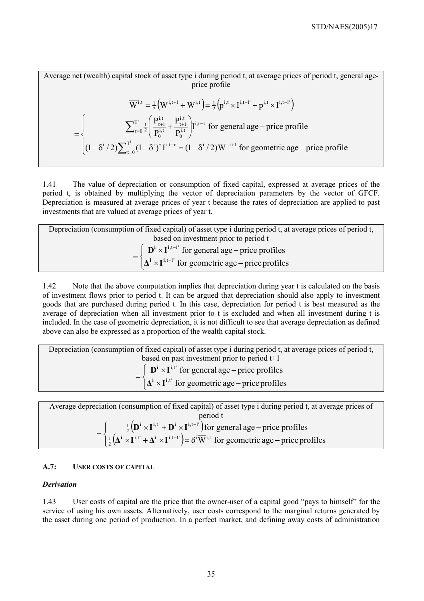Average net (wealth) capital stock of asset type i during period t, at average prices of period t, general ageprice profile

$$
\overline{W}^{i,t} = \frac{1}{2} \Big( W^{i,t+1} + W^{i,t} \Big) = \frac{1}{2} \Big( p^{i,t} \times I^{i,t-1} + p^{i,t} \times I^{i,t-1} \Big)
$$
\n
$$
= \begin{cases}\n\sum_{\tau=0}^{T^i} \frac{1}{2} \Big( \frac{P_{\tau+1}^{i,t}}{P_0^{i,t}} + \frac{P_{\tau+1}^{i,t}}{P_0^{i,t}} \Big) I^{i,t-\tau} & \text{for general age} - \text{price profile} \\
(1 - \delta^i / 2) \sum_{\tau=0}^{T^i} (1 - \delta^i)^{\tau} I^{i,t-\tau} = (1 - \delta^i / 2) W^{i,t+1} & \text{for geometric age} - \text{price profile}\n\end{cases}
$$

1.41 The value of depreciation or consumption of fixed capital, expressed at average prices of the period t, is obtained by multiplying the vector of depreciation parameters by the vector of GFCF. Depreciation is measured at average prices of year t because the rates of depreciation are applied to past investments that are valued at average prices of year t.

| Depreciation (consumption of fixed capital) of asset type i during period t, at average prices of period t,      |  |  |  |
|------------------------------------------------------------------------------------------------------------------|--|--|--|
| based on investment prior to period t                                                                            |  |  |  |
| $\mathbf{D}^{\mathbf{i}} \times \mathbf{I}^{\mathbf{i},\mathbf{t}-\mathbf{l}'}$ for general age – price profiles |  |  |  |
| $\Delta^i \times I^{i,t-l'}$ for geometric age – price profiles                                                  |  |  |  |

1.42 Note that the above computation implies that depreciation during year t is calculated on the basis of investment flows prior to period t. It can be argued that depreciation should also apply to investment goods that are purchased during period t. In this case, depreciation for period t is best measured as the average of depreciation when all investment prior to t is excluded and when all investment during t is included. In the case of geometric depreciation, it is not difficult to see that average depreciation as defined above can also be expressed as a proportion of the wealth capital stock.

| Depreciation (consumption of fixed capital) of asset type i during period t, at average prices of period t, |  |  |  |
|-------------------------------------------------------------------------------------------------------------|--|--|--|
| based on past investment prior to period $t+1$                                                              |  |  |  |
| $\int \mathbf{D}^i \times \mathbf{I}^{i,t'}$ for general age – price profiles                               |  |  |  |
| $\left[ \Delta^{i} \times I^{i,t} \right]$ for geometric age – price profiles                               |  |  |  |

Average depreciation (consumption of fixed capital) of asset type i during period t, at average prices of period t  $\left( \mathbf{D}^{\text{i}} \times \mathbf{I}^{\text{i}, \text{t}^{\text{r}}} + \mathbf{D}^{\text{i}} \times \mathbf{I}^{\text{i}, \text{t}-\text{l}^{\text{r}}} \right)$  $\left( \frac{1}{2} \left( \mathbf{\Delta}^{\mathbf{i}} \times \mathbf{I}^{\mathbf{i}, \mathbf{t}'} + \mathbf{\Delta}^{\mathbf{i}} \times \mathbf{I}^{\mathbf{i}, \mathbf{t}-\mathbf{l}'} \right) \right)$  $\vert$ ╎  $\left($  $= \begin{cases} \frac{1}{2} \left( \mathbf{D}^{i} \times \mathbf{I}^{i,t} + \mathbf{D}^{i} \times \mathbf{I}^{i,t-1} \right) \text{for general age} - \text{price} \\ \frac{1}{2} \left( \mathbf{\Delta}^{i} \times \mathbf{I}^{i,t} + \mathbf{\Delta}^{i} \times \mathbf{I}^{i,t-1} \right) = \delta^{i} \overline{\mathbf{W}}^{i,t} \text{ for geometric age} - \end{cases}$  $\overline{W}^{i,t}$  for geometric age – price profiles for general age  $-$  price profiles ,t',  $\mathbf{A}$  i  $\mathbf{U}$  i,t-l'  $\mathbf{I}$   $\mathbf{I}$  i,t  $\frac{1}{2}$ ,t' ,  $\mathbf{n}$ i ,  $\mathbf{I}^{i,t-1}$  $\frac{1}{2}$  $\mathbf{i} \cup \mathbf{T}$ **i**,t' **i i**  $\mathbf{i} \cup \mathbf{T}$ **i**,t-l' **i i ' i i '**  $\mathbf{\Delta}^{\mathbf{i}} \times \mathbf{I}^{\mathbf{i}, \mathbf{t}'} + \mathbf{\Delta}^{\mathbf{i}} \times \mathbf{I}$  $\mathbf{D}^{\mathbf{i}} \times \mathbf{I}^{\mathbf{i},\mathbf{t}'} + \mathbf{D}^{\mathbf{i}} \times \mathbf{I}$ 

# **A.7: USER COSTS OF CAPITAL**

#### *Derivation*

1.43 User costs of capital are the price that the owner-user of a capital good "pays to himself" for the service of using his own assets. Alternatively, user costs correspond to the marginal returns generated by the asset during one period of production. In a perfect market, and defining away costs of administration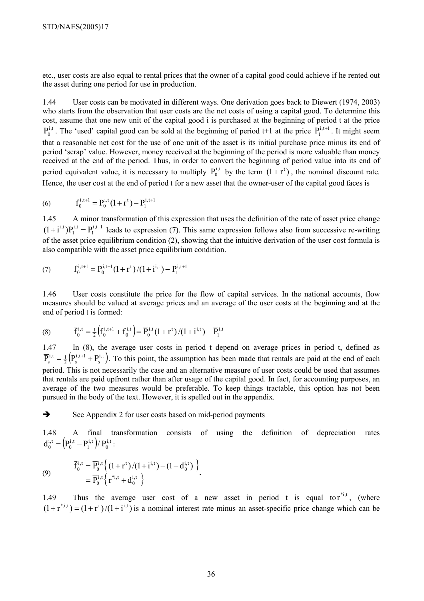etc., user costs are also equal to rental prices that the owner of a capital good could achieve if he rented out the asset during one period for use in production.

1.44 User costs can be motivated in different ways. One derivation goes back to Diewert (1974, 2003) who starts from the observation that user costs are the net costs of using a capital good. To determine this cost, assume that one new unit of the capital good i is purchased at the beginning of period t at the price  $P_0^{i,t}$ . The 'used' capital good can be sold at the beginning of period t+1 at the price  $P_1^{i,t+1}$ . It might seem that a reasonable net cost for the use of one unit of the asset is its initial purchase price minus its end of period 'scrap' value. However, money received at the beginning of the period is more valuable than money received at the end of the period. Thus, in order to convert the beginning of period value into its end of period equivalent value, it is necessary to multiply  $P_0^{i,t}$  by the term  $(1 + r^t)$ , the nominal discount rate. Hence, the user cost at the end of period t for a new asset that the owner-user of the capital good faces is

(6) 
$$
f_0^{i,t+1} = P_0^{i,t} (1+r^t) - P_1^{i,t+1}
$$

1.45 A minor transformation of this expression that uses the definition of the rate of asset price change  $i$ , t+1 1 i,t  $(1+i^{i,t})P_1^{i,t} = P_1^{i,t+1}$  leads to expression (7). This same expression follows also from successive re-writing of the asset price equilibrium condition (2), showing that the intuitive derivation of the user cost formula is also compatible with the asset price equilibrium condition.

(7) 
$$
f_0^{i,t+1} = P_0^{i,t+1} (1 + r^t) / (1 + i^{i,t}) - P_1^{i,t+1}
$$

1.46 User costs constitute the price for the flow of capital services. In the national accounts, flow measures should be valued at average prices and an average of the user costs at the beginning and at the end of period t is formed:

(8) 
$$
\overline{f}_0^{i,t} = \frac{1}{2} \left( f_0^{i,t+1} + f_0^{i,t} \right) = \overline{P}_0^{i,t} (1+r^t) / (1+i^{i,t}) - \overline{P}_1^{i,t}
$$

1.47 In (8), the average user costs in period t depend on average prices in period t, defined as  $\left( \mathrm{P_{s}^{i,t+1}+P_{s}^{i,t}}\right)$  $i$ , t+1  $\overline{P}_s^{i,t} = \frac{1}{2} (P_s^{i,t+1} + P_s^{i,t})$ . To this point, the assumption has been made that rentals are paid at the end of each period. This is not necessarily the case and an alternative measure of user costs could be used that assumes that rentals are paid upfront rather than after usage of the capital good. In fact, for accounting purposes, an average of the two measures would be preferable. To keep things tractable, this option has not been pursued in the body of the text. However, it is spelled out in the appendix.

 $\rightarrow$  See Appendix 2 for user costs based on mid-period payments

1.48 A final transformation consists of using the definition of depreciation rates  $\left( \mathrm{P}_{0}^{\mathrm{i,t}}-\mathrm{P}_{1}^{\mathrm{i,t}}\right)$ /  $\mathrm{P}_{0}^{\mathrm{i,t}}$ i,t 1 i,t  $d_0^{i,t} = (P_0^{i,t} - P_1^{i,t})/P_0^{i,t}$ :

(9) 
$$
\overline{f}_0^{i,t} = \overline{P}_0^{i,t} \left\{ (1+r^t)/(1+i^{i,t}) - (1-d_0^{i,t}) \right\} \n= \overline{P}_0^{i,t} \left\{ r^{*i,t} + d_0^{i,t} \right\}.
$$

1.49 Thus the average user cost of a new asset in period t is equal to  $r^{i,j}$ , (where  $(1 + r^{*,i,t}) = (1 + r^{t})/(1 + i^{i,t})$  is a nominal interest rate minus an asset-specific price change which can be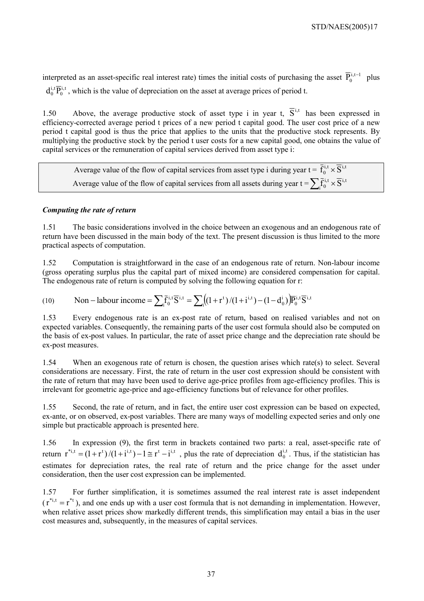interpreted as an asset-specific real interest rate) times the initial costs of purchasing the asset  $\overline{P}_0^{i,t-1}$  plus i,t  $d_0^{i,t} \overline{P}_0^{i,t}$ , which is the value of depreciation on the asset at average prices of period t.

1.50 Above, the average productive stock of asset type i in year t,  $\overline{S}^{i,t}$  has been expressed in efficiency-corrected average period t prices of a new period t capital good. The user cost price of a new period t capital good is thus the price that applies to the units that the productive stock represents. By multiplying the productive stock by the period t user costs for a new capital good, one obtains the value of capital services or the remuneration of capital services derived from asset type i:

Average value of the flow of capital services from asset type i during year  $t = \overline{f}_0^{i,t} \times \overline{S}^{i,t}$ Average value of the flow of capital services from all assets during year t =  $\sum_i \overline{f}_0^{i,t} \times \overline{S}^{i,t}$ 

# *Computing the rate of return*

1.51 The basic considerations involved in the choice between an exogenous and an endogenous rate of return have been discussed in the main body of the text. The present discussion is thus limited to the more practical aspects of computation.

1.52 Computation is straightforward in the case of an endogenous rate of return. Non-labour income (gross operating surplus plus the capital part of mixed income) are considered compensation for capital. The endogenous rate of return is computed by solving the following equation for r:

(10) Non–labour income = 
$$
\sum_i \bar{f}_0^{i,t} \bar{S}^{i,t} = \sum_i ((1+r^t)/(1+i^{i,t}) - (1-d_0^i)) \bar{F}_0^{i,t} \bar{S}^{i,t}
$$

1.53 Every endogenous rate is an ex-post rate of return, based on realised variables and not on expected variables. Consequently, the remaining parts of the user cost formula should also be computed on the basis of ex-post values. In particular, the rate of asset price change and the depreciation rate should be ex-post measures.

1.54 When an exogenous rate of return is chosen, the question arises which rate(s) to select. Several considerations are necessary. First, the rate of return in the user cost expression should be consistent with the rate of return that may have been used to derive age-price profiles from age-efficiency profiles. This is irrelevant for geometric age-price and age-efficiency functions but of relevance for other profiles.

1.55 Second, the rate of return, and in fact, the entire user cost expression can be based on expected, ex-ante, or on observed, ex-post variables. There are many ways of modelling expected series and only one simple but practicable approach is presented here.

1.56 In expression (9), the first term in brackets contained two parts: a real, asset-specific rate of return  $r^{*i,t} = (1+r^t)/(1+i^{i,t})-1 \approx r^t - i^{i,t}$ , plus the rate of depreciation  $d_0^{i,t}$ . Thus, if the statistician has estimates for depreciation rates, the real rate of return and the price change for the asset under consideration, then the user cost expression can be implemented.

1.57 For further simplification, it is sometimes assumed the real interest rate is asset independent  $(r^{*i,t} = r^{*t})$ , and one ends up with a user cost formula that is not demanding in implementation. However, when relative asset prices show markedly different trends, this simplification may entail a bias in the user cost measures and, subsequently, in the measures of capital services.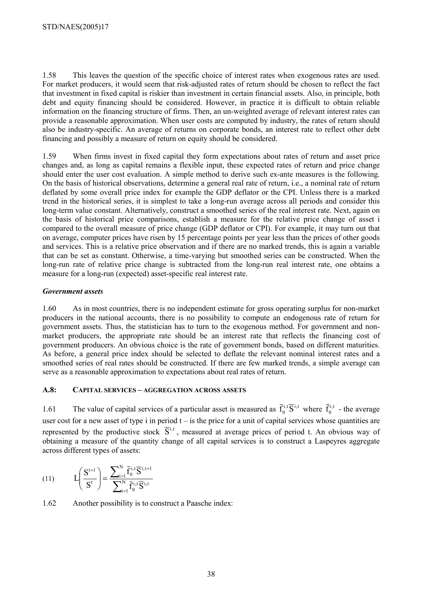1.58 This leaves the question of the specific choice of interest rates when exogenous rates are used. For market producers, it would seem that risk-adjusted rates of return should be chosen to reflect the fact that investment in fixed capital is riskier than investment in certain financial assets. Also, in principle, both debt and equity financing should be considered. However, in practice it is difficult to obtain reliable information on the financing structure of firms. Then, an un-weighted average of relevant interest rates can provide a reasonable approximation. When user costs are computed by industry, the rates of return should also be industry-specific. An average of returns on corporate bonds, an interest rate to reflect other debt financing and possibly a measure of return on equity should be considered.

1.59 When firms invest in fixed capital they form expectations about rates of return and asset price changes and, as long as capital remains a flexible input, these expected rates of return and price change should enter the user cost evaluation. A simple method to derive such ex-ante measures is the following. On the basis of historical observations, determine a general real rate of return, i.e., a nominal rate of return deflated by some overall price index for example the GDP deflator or the CPI. Unless there is a marked trend in the historical series, it is simplest to take a long-run average across all periods and consider this long-term value constant. Alternatively, construct a smoothed series of the real interest rate. Next, again on the basis of historical price comparisons, establish a measure for the relative price change of asset i compared to the overall measure of price change (GDP deflator or CPI). For example, it may turn out that on average, computer prices have risen by 15 percentage points per year less than the prices of other goods and services. This is a relative price observation and if there are no marked trends, this is again a variable that can be set as constant. Otherwise, a time-varying but smoothed series can be constructed. When the long-run rate of relative price change is subtracted from the long-run real interest rate, one obtains a measure for a long-run (expected) asset-specific real interest rate.

# *Government assets*

1.60 As in most countries, there is no independent estimate for gross operating surplus for non-market producers in the national accounts, there is no possibility to compute an endogenous rate of return for government assets. Thus, the statistician has to turn to the exogenous method. For government and nonmarket producers, the appropriate rate should be an interest rate that reflects the financing cost of government producers. An obvious choice is the rate of government bonds, based on different maturities. As before, a general price index should be selected to deflate the relevant nominal interest rates and a smoothed series of real rates should be constructed. If there are few marked trends, a simple average can serve as a reasonable approximation to expectations about real rates of return.

#### **A.8: CAPITAL SERVICES – AGGREGATION ACROSS ASSETS**

1.61 The value of capital services of a particular asset is measured as  $\bar{f}_0^{i,t} \bar{S}^{i,t}$  where  $\bar{f}_0^{i,t}$  - the average user cost for a new asset of type i in period  $t -$  is the price for a unit of capital services whose quantities are represented by the productive stock  $\overline{S}^{i,t}$ , measured at average prices of period t. An obvious way of obtaining a measure of the quantity change of all capital services is to construct a Laspeyres aggregate across different types of assets:

(11) 
$$
L\left(\frac{S^{t+1}}{S^t}\right) = \frac{\sum_{i=1}^{N} \bar{f}_0^{i,t} \overline{S}^{i,t+1}}{\sum_{i=1}^{N} \bar{f}_0^{i,t} \overline{S}^{i,t}}
$$

1.62 Another possibility is to construct a Paasche index: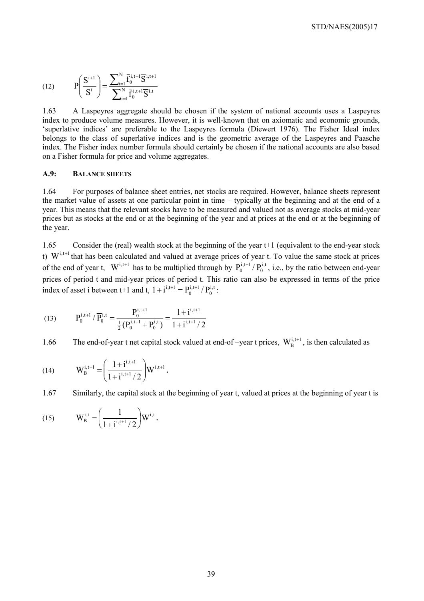(12) 
$$
P\left(\frac{S^{t+1}}{S^t}\right) = \frac{\sum_{i=1}^{N} \bar{f}_0^{i,t+1} \overline{S}^{i,t+1}}{\sum_{i=1}^{N} \bar{f}_0^{i,t+1} \overline{S}^{i,t}}
$$

1.63 A Laspeyres aggregate should be chosen if the system of national accounts uses a Laspeyres index to produce volume measures. However, it is well-known that on axiomatic and economic grounds, 'superlative indices' are preferable to the Laspeyres formula (Diewert 1976). The Fisher Ideal index belongs to the class of superlative indices and is the geometric average of the Laspeyres and Paasche index. The Fisher index number formula should certainly be chosen if the national accounts are also based on a Fisher formula for price and volume aggregates.

#### **A.9: BALANCE SHEETS**

1.64 For purposes of balance sheet entries, net stocks are required. However, balance sheets represent the market value of assets at one particular point in time – typically at the beginning and at the end of a year. This means that the relevant stocks have to be measured and valued not as average stocks at mid-year prices but as stocks at the end or at the beginning of the year and at prices at the end or at the beginning of the year.

1.65 Consider the (real) wealth stock at the beginning of the year t+1 (equivalent to the end-year stock t)  $W^{i,t+1}$  that has been calculated and valued at average prices of year t. To value the same stock at prices of the end of year t,  $W^{i,t+1}$  has to be multiplied through by  $P_0^{i,t+1}/\overline{P}_0^{i,t}$ , i.e., by the ratio between end-year prices of period t and mid-year prices of period t. This ratio can also be expressed in terms of the price index of asset i between t+1 and t,  $1 + i^{i,t+1} = P_0^{i,t+1} / P_0^{i,t}$  $i$ , t+1  $1 + i^{i,t+1} = P_0^{i,t+1} / P_0^{i,t}$ :

(13) 
$$
P_0^{i,t+1} / \overline{P}_0^{i,t} = \frac{P_0^{i,t+1}}{\frac{1}{2} (P_0^{i,t+1} + P_0^{i,t})} = \frac{1 + i^{i,t+1}}{1 + i^{i,t+1}/2}
$$

1.66 The end-of-year t net capital stock valued at end-of-year t prices,  $W_B^{i,t+1}$ , is then calculated as

(14) 
$$
W_B^{i,t+1} = \left(\frac{1+i^{i,t+1}}{1+i^{i,t+1}/2}\right) W^{i,t+1}.
$$

1.67 Similarly, the capital stock at the beginning of year t, valued at prices at the beginning of year t is

(15) 
$$
W_{B}^{i,t} = \left(\frac{1}{1+i^{i,t+1}/2}\right)W^{i,t}.
$$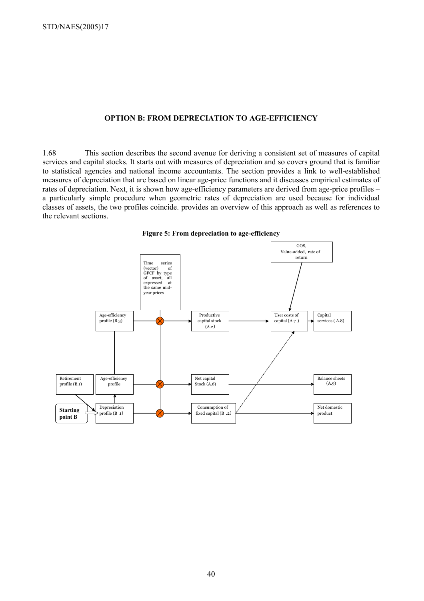#### **OPTION B: FROM DEPRECIATION TO AGE-EFFICIENCY**

1.68 This section describes the second avenue for deriving a consistent set of measures of capital services and capital stocks. It starts out with measures of depreciation and so covers ground that is familiar to statistical agencies and national income accountants. The section provides a link to well-established measures of depreciation that are based on linear age-price functions and it discusses empirical estimates of rates of depreciation. Next, it is shown how age-efficiency parameters are derived from age-price profiles – a particularly simple procedure when geometric rates of depreciation are used because for individual classes of assets, the two profiles coincide. provides an overview of this approach as well as references to the relevant sections.



**Figure 5: From depreciation to age-efficiency**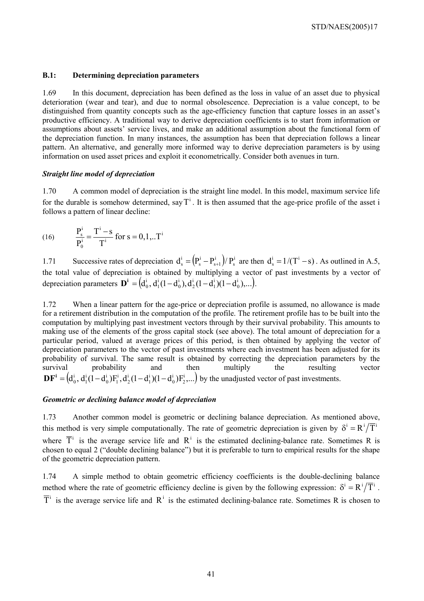#### **B.1: Determining depreciation parameters**

1.69 In this document, depreciation has been defined as the loss in value of an asset due to physical deterioration (wear and tear), and due to normal obsolescence. Depreciation is a value concept, to be distinguished from quantity concepts such as the age-efficiency function that capture losses in an asset's productive efficiency. A traditional way to derive depreciation coefficients is to start from information or assumptions about assets' service lives, and make an additional assumption about the functional form of the depreciation function. In many instances, the assumption has been that depreciation follows a linear pattern. An alternative, and generally more informed way to derive depreciation parameters is by using information on used asset prices and exploit it econometrically. Consider both avenues in turn.

#### *Straight line model of depreciation*

1.70 A common model of depreciation is the straight line model. In this model, maximum service life for the durable is somehow determined, say  $T^i$ . It is then assumed that the age-price profile of the asset i follows a pattern of linear decline:

(16) 
$$
\frac{P_s^i}{P_0^i} = \frac{T^i - s}{T^i} \text{ for } s = 0, 1, ... T^i
$$

1.71 Successive rates of depreciation  $d_s^i = (P_s^i - P_{s+1}^i)/P_s^i$ i  $s + 1$ i  $d_s^i = (P_s^i - P_{s+1}^i)/P_s^i$  are then  $d_s^i = 1/(T^i - s)$ . As outlined in A.5, the total value of depreciation is obtained by multiplying a vector of past investments by a vector of depreciation parameters  $\mathbf{D}^{i} = (d_0^i, d_1^i(1-d_0^i), d_2^i(1-d_1^i)(1-d_0^i),...)$ i 1 i 2 i 0 i  $\mathbf{D}^i = (d_0^i, d_1^i(1 - d_0^i), d_2^i(1 - d_1^i)(1 - d_0^i), \ldots).$ 

1.72 When a linear pattern for the age-price or depreciation profile is assumed, no allowance is made for a retirement distribution in the computation of the profile. The retirement profile has to be built into the computation by multiplying past investment vectors through by their survival probability. This amounts to making use of the elements of the gross capital stock (see above). The total amount of depreciation for a particular period, valued at average prices of this period, is then obtained by applying the vector of depreciation parameters to the vector of past investments where each investment has been adjusted for its probability of survival. The same result is obtained by correcting the depreciation parameters by the survival probability and then multiply the resulting vector  $\left( \mathsf{d}_0^{\mathrm{i}}, \, \mathsf{d}_1^{\mathrm{i}} (1-\mathsf{d}_0^{\mathrm{i}}) \mathrm{F}_1^{\mathrm{i}}, \mathsf{d}_2^{\mathrm{i}} (1-\mathsf{d}_1^{\mathrm{i}}) (1-\mathsf{d}_0^{\mathrm{i}}) \mathrm{F}_2^{\mathrm{i}}, \ldots \right)$ i  $\boldsymbol{0}$ i 1 i 2 i 1 i  $\boldsymbol{0}$ i  $\mathbf{D}\mathbf{F}^i = (d_0^i, d_1^i(1-d_0^i)\mathbf{F}_1^i, d_2^i(1-d_1^i)(1-d_0^i)\mathbf{F}_2^i,...)$  by the unadjusted vector of past investments.

#### *Geometric or declining balance model of depreciation*

1.73 Another common model is geometric or declining balance depreciation. As mentioned above, this method is very simple computationally. The rate of geometric depreciation is given by  $\delta^{i} = R^{i}/\overline{T}^{i}$ where  $\overline{T}$ <sup>i</sup> is the average service life and  $R$ <sup>i</sup> is the estimated declining-balance rate. Sometimes R is chosen to equal 2 ("double declining balance") but it is preferable to turn to empirical results for the shape of the geometric depreciation pattern.

1.74 A simple method to obtain geometric efficiency coefficients is the double-declining balance method where the rate of geometric efficiency decline is given by the following expression:  $\delta^i = R^i / \overline{T}^i$ .  $\overline{T}^i$  is the average service life and  $R^i$  is the estimated declining-balance rate. Sometimes R is chosen to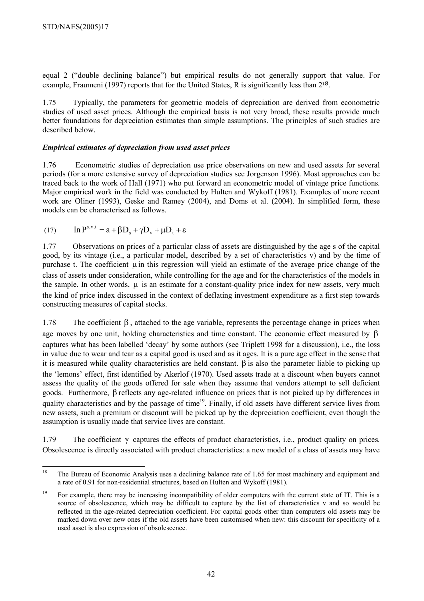equal 2 ("double declining balance") but empirical results do not generally support that value. For example, Fraumeni (1997) reports that for the United States, R is significantly less than  $2^{18}$ .

1.75 Typically, the parameters for geometric models of depreciation are derived from econometric studies of used asset prices. Although the empirical basis is not very broad, these results provide much better foundations for depreciation estimates than simple assumptions. The principles of such studies are described below.

# *Empirical estimates of depreciation from used asset prices*

1.76 Econometric studies of depreciation use price observations on new and used assets for several periods (for a more extensive survey of depreciation studies see Jorgenson 1996). Most approaches can be traced back to the work of Hall (1971) who put forward an econometric model of vintage price functions. Major empirical work in the field was conducted by Hulten and Wykoff (1981). Examples of more recent work are Oliner (1993), Geske and Ramey (2004), and Doms et al. (2004). In simplified form, these models can be characterised as follows.

(17)  $\ln P^{s,v,t} = a + \beta D_s + \gamma D_v + \mu D_t + \varepsilon$ 

1.77 Observations on prices of a particular class of assets are distinguished by the age s of the capital good, by its vintage (i.e., a particular model, described by a set of characteristics v) and by the time of purchase t. The coefficient  $\mu$  in this regression will yield an estimate of the average price change of the class of assets under consideration, while controlling for the age and for the characteristics of the models in the sample. In other words,  $\mu$  is an estimate for a constant-quality price index for new assets, very much the kind of price index discussed in the context of deflating investment expenditure as a first step towards constructing measures of capital stocks.

1.78 The coefficient β , attached to the age variable, represents the percentage change in prices when age moves by one unit, holding characteristics and time constant. The economic effect measured by  $\beta$ captures what has been labelled 'decay' by some authors (see Triplett 1998 for a discussion), i.e., the loss in value due to wear and tear as a capital good is used and as it ages. It is a pure age effect in the sense that it is measured while quality characteristics are held constant.  $\beta$  is also the parameter liable to picking up the 'lemons' effect, first identified by Akerlof (1970). Used assets trade at a discount when buyers cannot assess the quality of the goods offered for sale when they assume that vendors attempt to sell deficient goods. Furthermore, β reflects any age-related influence on prices that is not picked up by differences in quality characteristics and by the passage of time<sup>19</sup>. Finally, if old assets have different service lives from new assets, such a premium or discount will be picked up by the depreciation coefficient, even though the assumption is usually made that service lives are constant.

1.79 The coefficient γ captures the effects of product characteristics, i.e., product quality on prices. Obsolescence is directly associated with product characteristics: a new model of a class of assets may have

<sup>18</sup> 18 The Bureau of Economic Analysis uses a declining balance rate of 1.65 for most machinery and equipment and a rate of 0.91 for non-residential structures, based on Hulten and Wykoff (1981).

<sup>&</sup>lt;sup>19</sup> For example, there may be increasing incompatibility of older computers with the current state of IT. This is a source of obsolescence, which may be difficult to capture by the list of characteristics v and so would be reflected in the age-related depreciation coefficient. For capital goods other than computers old assets may be marked down over new ones if the old assets have been customised when new: this discount for specificity of a used asset is also expression of obsolescence.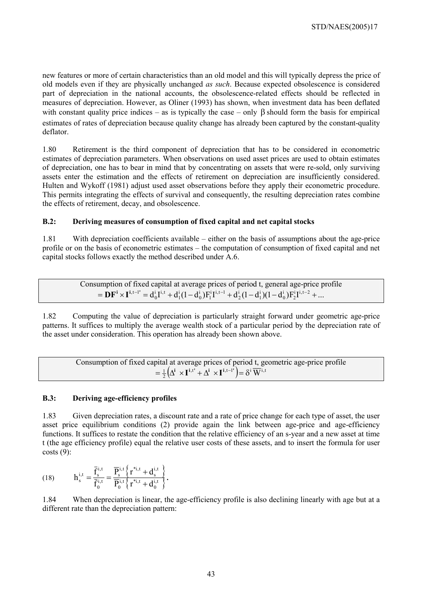new features or more of certain characteristics than an old model and this will typically depress the price of old models even if they are physically unchanged *as such*. Because expected obsolescence is considered part of depreciation in the national accounts, the obsolescence-related effects should be reflected in measures of depreciation. However, as Oliner (1993) has shown, when investment data has been deflated with constant quality price indices – as is typically the case – only  $\beta$  should form the basis for empirical estimates of rates of depreciation because quality change has already been captured by the constant-quality deflator.

1.80 Retirement is the third component of depreciation that has to be considered in econometric estimates of depreciation parameters. When observations on used asset prices are used to obtain estimates of depreciation, one has to bear in mind that by concentrating on assets that were re-sold, only surviving assets enter the estimation and the effects of retirement on depreciation are insufficiently considered. Hulten and Wykoff (1981) adjust used asset observations before they apply their econometric procedure. This permits integrating the effects of survival and consequently, the resulting depreciation rates combine the effects of retirement, decay, and obsolescence.

# **B.2: Deriving measures of consumption of fixed capital and net capital stocks**

1.81 With depreciation coefficients available – either on the basis of assumptions about the age-price profile or on the basis of econometric estimates – the computation of consumption of fixed capital and net capital stocks follows exactly the method described under A.6.

Consumption of fixed capital at average prices of period t, general age-price profile  
= 
$$
\mathbf{DF}^i \times \mathbf{I}^{i,t-1'} = d_0^i I^{i,t} + d_1^i (1-d_0^i) F_1^{i} I^{i,t-1} + d_2^i (1-d_1^i) (1-d_0^i) F_2^{i} I^{i,t-2} + ...
$$

1.82 Computing the value of depreciation is particularly straight forward under geometric age-price patterns. It suffices to multiply the average wealth stock of a particular period by the depreciation rate of the asset under consideration. This operation has already been shown above.

Consumption of fixed capital at average prices of period t, geometric age-price profile  $= \frac{1}{2} \Big( \Delta^{\mathbf{i}} \times \mathbf{I}^{\mathbf{i}, \mathbf{t}^{\mathbf{\prime}}} + \Delta^{\mathbf{i}} \times \mathbf{I}^{\mathbf{i}, \mathbf{t} - \mathbf{l}^{\mathbf{\prime}}} \Big) = \delta^{\mathbf{i}} \, \overline{\mathbf{W}}^{\mathbf{i}, \mathbf{t}}$ 

# **B.3: Deriving age-efficiency profiles**

1.83 Given depreciation rates, a discount rate and a rate of price change for each type of asset, the user asset price equilibrium conditions (2) provide again the link between age-price and age-efficiency functions. It suffices to restate the condition that the relative efficiency of an s-year and a new asset at time t (the age efficiency profile) equal the relative user costs of these assets, and to insert the formula for user  $costs(9)$ :

(18) 
$$
h_s^{i,t} = \frac{\overline{f}_s^{i,t}}{\overline{f}_0^{i,t}} = \frac{\overline{P}_s^{i,t} \left\{ r^{*i,t} + d_s^{i,t} \right\}}{\overline{P}_0^{i,t} \left\{ r^{*i,t} + d_0^{i,t} \right\}}.
$$

1.84 When depreciation is linear, the age-efficiency profile is also declining linearly with age but at a different rate than the depreciation pattern: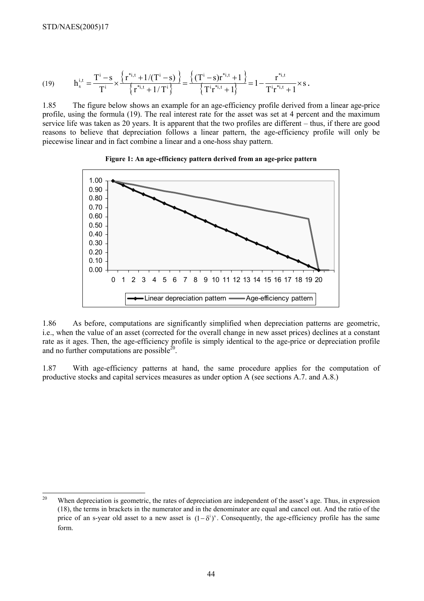$$
(19) \hspace{1cm} h^{i,t}_s = \frac{T^i - s}{T^i} \times \frac{\left\{ r^{*i,t} + 1/(T^i - s) \right\}}{\left\{ r^{*i,t} + 1/T^i \right\}} = \frac{\left\{ (T^i - s)r^{*i,t} + 1 \right\}}{\left\{ T^i r^{*i,t} + 1 \right\}} = 1 - \frac{r^{*i,t}}{T^i r^{*i,t} + 1} \times s \, .
$$

1.85 The figure below shows an example for an age-efficiency profile derived from a linear age-price profile, using the formula (19). The real interest rate for the asset was set at 4 percent and the maximum service life was taken as 20 years. It is apparent that the two profiles are different – thus, if there are good reasons to believe that depreciation follows a linear pattern, the age-efficiency profile will only be piecewise linear and in fact combine a linear and a one-hoss shay pattern.





1.86 As before, computations are significantly simplified when depreciation patterns are geometric, i.e., when the value of an asset (corrected for the overall change in new asset prices) declines at a constant rate as it ages. Then, the age-efficiency profile is simply identical to the age-price or depreciation profile and no further computations are possible $^{20}$ .

1.87 With age-efficiency patterns at hand, the same procedure applies for the computation of productive stocks and capital services measures as under option A (see sections A.7. and A.8.)

 $20$ When depreciation is geometric, the rates of depreciation are independent of the asset's age. Thus, in expression (18), the terms in brackets in the numerator and in the denominator are equal and cancel out. And the ratio of the price of an s-year old asset to a new asset is  $(1-\delta^i)^s$ . Consequently, the age-efficiency profile has the same form.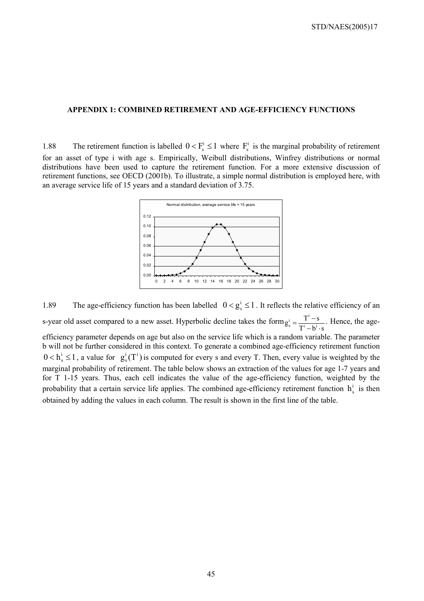#### **APPENDIX 1: COMBINED RETIREMENT AND AGE-EFFICIENCY FUNCTIONS**

1.88 The retirement function is labelled  $0 < F_s^i \le 1$  where  $F_s^i$  is the marginal probability of retirement for an asset of type i with age s. Empirically, Weibull distributions, Winfrey distributions or normal distributions have been used to capture the retirement function. For a more extensive discussion of retirement functions, see OECD (2001b). To illustrate, a simple normal distribution is employed here, with an average service life of 15 years and a standard deviation of 3.75.



1.89 The age-efficiency function has been labelled  $0 < g_s^i \le 1$ . It reflects the relative efficiency of an s-year old asset compared to a new asset. Hyperbolic decline takes the form  $T^1 - b^1 \cdot s$  $g_s^i = \frac{T^i - s}{T^i - b^i \cdot s}$ . Hence, the ageefficiency parameter depends on age but also on the service life which is a random variable. The parameter b will not be further considered in this context. To generate a combined age-efficiency retirement function  $0 < h_s^i \le 1$ , a value for  $g_s^i(T^i)$  is computed for every s and every T. Then, every value is weighted by the marginal probability of retirement. The table below shows an extraction of the values for age 1-7 years and for T 1-15 years. Thus, each cell indicates the value of the age-efficiency function, weighted by the probability that a certain service life applies. The combined age-efficiency retirement function  $h_s^i$  is then obtained by adding the values in each column. The result is shown in the first line of the table.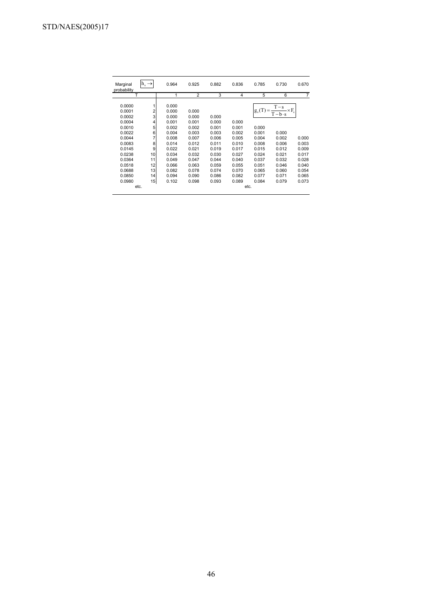| Marginal<br>probability                                  | h <sub>s</sub>                                     | 0.964                                              | 0.925                                     | 0.882                            | 0.836                   | 0.785                      | 0.730                             | 0.670          |
|----------------------------------------------------------|----------------------------------------------------|----------------------------------------------------|-------------------------------------------|----------------------------------|-------------------------|----------------------------|-----------------------------------|----------------|
| т                                                        |                                                    | 1                                                  | $\overline{2}$                            | 3                                | 4                       | 5                          | 6                                 | 7              |
| 0.0000<br>0.0001<br>0.0002<br>0.0004<br>0.0010<br>0.0022 | $\overline{\mathbf{c}}$<br>3<br>4<br>5<br>$6 \mid$ | 0.000<br>0.000<br>0.000<br>0.001<br>0.002<br>0.004 | 0.000<br>0.000<br>0.001<br>0.002<br>0.003 | 0.000<br>0.000<br>0.001<br>0.003 | 0.000<br>0.001<br>0.002 | $g_s(T)$<br>0.000<br>0.001 | $T - s$<br>$T-b \cdot s$<br>0.000 | $\times F_{s}$ |
| 0.0044                                                   | 7                                                  | 0.008                                              | 0.007                                     | 0.006                            | 0.005                   | 0.004                      | 0.002                             | 0.000          |
| 0.0083<br>0.0145                                         | 8<br>9                                             | 0.014<br>0.022                                     | 0.012<br>0.021                            | 0.011<br>0.019                   | 0.010<br>0.017          | 0.008<br>0.015             | 0.006<br>0.012                    | 0.003<br>0.009 |
| 0.0238                                                   | 10                                                 | 0.034                                              | 0.032                                     | 0.030                            | 0.027                   | 0.024                      | 0.021                             | 0.017          |
| 0.0364                                                   | 11                                                 | 0.049                                              | 0.047                                     | 0.044                            | 0.040                   | 0.037                      | 0.032                             | 0.028          |
| 0.0518                                                   | 12                                                 | 0.066                                              | 0.063                                     | 0.059                            | 0.055                   | 0.051                      | 0.046                             | 0.040          |
| 0.0688                                                   | 13                                                 | 0.082                                              | 0.078                                     | 0.074                            | 0.070                   | 0.065                      | 0.060                             | 0.054          |
| 0.0850                                                   | 14                                                 | 0.094                                              | 0.090                                     | 0.086                            | 0.082                   | 0.077                      | 0.071                             | 0.065          |
| 0.0980                                                   | 15 <sub>l</sub>                                    | 0.102                                              | 0.098                                     | 0.093                            | 0.089                   | 0.084                      | 0.079                             | 0.073          |
|                                                          | etc.                                               |                                                    |                                           |                                  |                         | etc.                       |                                   |                |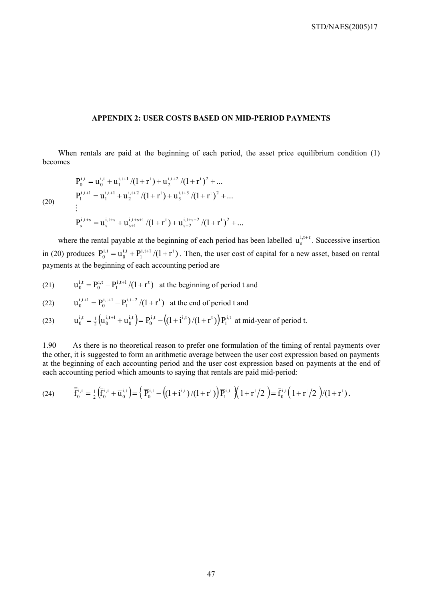#### **APPENDIX 2: USER COSTS BASED ON MID-PERIOD PAYMENTS**

When rentals are paid at the beginning of each period, the asset price equilibrium condition (1) becomes

(20)  
\n
$$
P_0^{i,t} = u_0^{i,t} + u_1^{i,t+1}/(1+r^t) + u_2^{i,t+2}/(1+r^t)^2 + ...
$$
\n
$$
P_1^{i,t+1} = u_1^{i,t+1} + u_2^{i,t+2}/(1+r^t) + u_3^{i,t+3}/(1+r^t)^2 + ...
$$
\n
$$
\vdots
$$
\n
$$
P_s^{i,t+s} = u_s^{i,t+s} + u_{s+1}^{i,t+s+1}/(1+r^t) + u_{s+2}^{i,t+s+2}/(1+r^t)^2 + ...
$$

where the rental payable at the beginning of each period has been labelled  $u_s^{i,t+\tau}$ . Successive insertion in (20) produces  $P_0^{i,t} = u_0^{i,t} + P_1^{i,t+1}/(1+r^t)$ i,t  $\boldsymbol{0}$  $\mathbf{u}_0^{i,t} = \mathbf{u}_0^{i,t} + \mathbf{P}_1^{i,t+1}/(1+\mathbf{r}^t)$ . Then, the user cost of capital for a new asset, based on rental payments at the beginning of each accounting period are

(21)  $u_0^{i,t} = P_0^{i,t} - P_1^{i,t+1}/(1+r^t)$ i,t 0  $I_0^{i,t} = P_0^{i,t} - P_1^{i,t+1}/(1+r^t)$  at the beginning of period t and

(22) 
$$
u_0^{i,t+1} = P_0^{i,t+1} - P_1^{i,t+2}/(1+r^t)
$$
 at the end of period t and

(23) 
$$
\overline{u}_0^{i,t} = \frac{1}{2} \left( u_0^{i,t+1} + u_0^{i,t} \right) = \overline{P}_0^{i,t} - \left( \left( 1 + i^{i,t} \right) / \left( 1 + r^t \right) \right) \overline{P}_1^{i,t}
$$
 at mid-year of period t.

1.90 As there is no theoretical reason to prefer one formulation of the timing of rental payments over the other, it is suggested to form an arithmetic average between the user cost expression based on payments at the beginning of each accounting period and the user cost expression based on payments at the end of each accounting period which amounts to saying that rentals are paid mid-period:

(24) 
$$
\overline{\overline{f}}_{0}^{i,t} = \frac{1}{2} \left( \overline{f}_{0}^{i,t} + \overline{u}_{0}^{i,t} \right) = \left\{ \overline{P}_{0}^{i,t} - \left( \left( 1 + i^{i,t} \right) / \left( 1 + r^{t} \right) \right) \overline{P}_{1}^{i,t} \right\} \left( 1 + r^{t} / 2 \right) = \overline{f}_{0}^{i,t} \left( 1 + r^{t} / 2 \right) / \left( 1 + r^{t} \right).
$$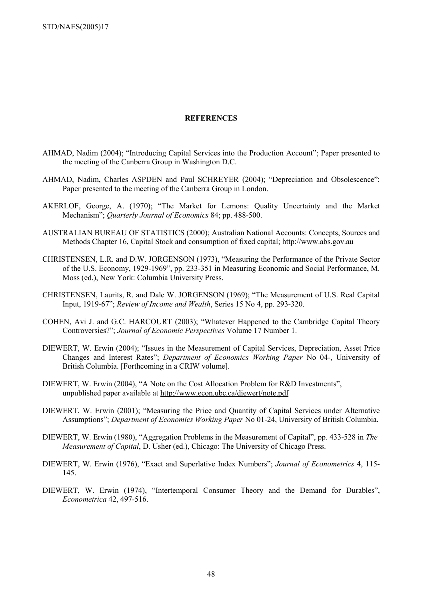STD/NAES(2005)17

#### **REFERENCES**

- AHMAD, Nadim (2004); "Introducing Capital Services into the Production Account"; Paper presented to the meeting of the Canberra Group in Washington D.C.
- AHMAD, Nadim, Charles ASPDEN and Paul SCHREYER (2004); "Depreciation and Obsolescence"; Paper presented to the meeting of the Canberra Group in London.
- AKERLOF, George, A. (1970); "The Market for Lemons: Quality Uncertainty and the Market Mechanism"; *Quarterly Journal of Economics* 84; pp. 488-500.
- AUSTRALIAN BUREAU OF STATISTICS (2000); Australian National Accounts: Concepts, Sources and Methods Chapter 16, Capital Stock and consumption of fixed capital; http://www.abs.gov.au
- CHRISTENSEN, L.R. and D.W. JORGENSON (1973), "Measuring the Performance of the Private Sector of the U.S. Economy, 1929-1969", pp. 233-351 in Measuring Economic and Social Performance, M. Moss (ed.), New York: Columbia University Press.
- CHRISTENSEN, Laurits, R. and Dale W. JORGENSON (1969); "The Measurement of U.S. Real Capital Input, 1919-67"; *Review of Income and Wealth*, Series 15 No 4, pp. 293-320.
- COHEN, Avi J. and G.C. HARCOURT (2003); "Whatever Happened to the Cambridge Capital Theory Controversies?"; *Journal of Economic Perspectives* Volume 17 Number 1.
- DIEWERT, W. Erwin (2004); "Issues in the Measurement of Capital Services, Depreciation, Asset Price Changes and Interest Rates"; *Department of Economics Working Paper* No 04-, University of British Columbia. [Forthcoming in a CRIW volume].
- DIEWERT, W. Erwin (2004), "A Note on the Cost Allocation Problem for R&D Investments", unpublished paper available at http://www.econ.ubc.ca/diewert/note.pdf
- DIEWERT, W. Erwin (2001); "Measuring the Price and Quantity of Capital Services under Alternative Assumptions"; *Department of Economics Working Paper* No 01-24, University of British Columbia.
- DIEWERT, W. Erwin (1980), "Aggregation Problems in the Measurement of Capital", pp. 433-528 in *The Measurement of Capital*, D. Usher (ed.), Chicago: The University of Chicago Press.
- DIEWERT, W. Erwin (1976), "Exact and Superlative Index Numbers"; *Journal of Econometrics* 4, 115- 145.
- DIEWERT, W. Erwin (1974), "Intertemporal Consumer Theory and the Demand for Durables", *Econometrica* 42, 497-516.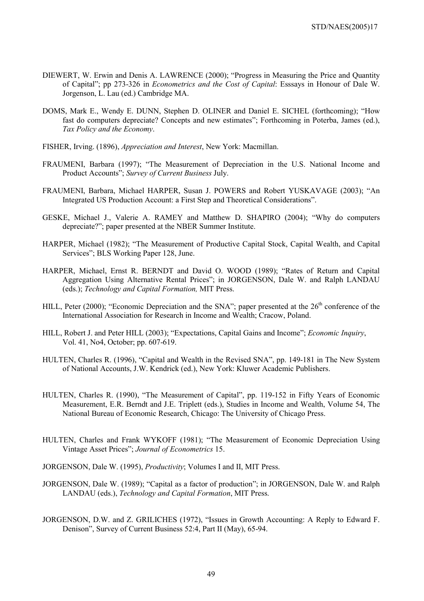- DIEWERT, W. Erwin and Denis A. LAWRENCE (2000); "Progress in Measuring the Price and Quantity of Capital"; pp 273-326 in *Econometrics and the Cost of Capital*: Esssays in Honour of Dale W. Jorgenson, L. Lau (ed.) Cambridge MA.
- DOMS, Mark E., Wendy E. DUNN, Stephen D. OLINER and Daniel E. SICHEL (forthcoming); "How fast do computers depreciate? Concepts and new estimates"; Forthcoming in Poterba, James (ed.), *Tax Policy and the Economy*.
- FISHER, Irving. (1896), *Appreciation and Interest*, New York: Macmillan.
- FRAUMENI, Barbara (1997); "The Measurement of Depreciation in the U.S. National Income and Product Accounts"; *Survey of Current Business* July.
- FRAUMENI, Barbara, Michael HARPER, Susan J. POWERS and Robert YUSKAVAGE (2003); "An Integrated US Production Account: a First Step and Theoretical Considerations".
- GESKE, Michael J., Valerie A. RAMEY and Matthew D. SHAPIRO (2004); "Why do computers depreciate?"; paper presented at the NBER Summer Institute.
- HARPER, Michael (1982); "The Measurement of Productive Capital Stock, Capital Wealth, and Capital Services"; BLS Working Paper 128, June.
- HARPER, Michael, Ernst R. BERNDT and David O. WOOD (1989); "Rates of Return and Capital Aggregation Using Alternative Rental Prices"; in JORGENSON, Dale W. and Ralph LANDAU (eds.); *Technology and Capital Formation,* MIT Press.
- HILL, Peter (2000); "Economic Depreciation and the SNA"; paper presented at the  $26<sup>th</sup>$  conference of the International Association for Research in Income and Wealth; Cracow, Poland.
- HILL, Robert J. and Peter HILL (2003); "Expectations, Capital Gains and Income"; *Economic Inquiry*, Vol. 41, No4, October; pp. 607-619.
- HULTEN, Charles R. (1996), "Capital and Wealth in the Revised SNA", pp. 149-181 in The New System of National Accounts, J.W. Kendrick (ed.), New York: Kluwer Academic Publishers.
- HULTEN, Charles R. (1990), "The Measurement of Capital", pp. 119-152 in Fifty Years of Economic Measurement, E.R. Berndt and J.E. Triplett (eds.), Studies in Income and Wealth, Volume 54, The National Bureau of Economic Research, Chicago: The University of Chicago Press.
- HULTEN, Charles and Frank WYKOFF (1981); "The Measurement of Economic Depreciation Using Vintage Asset Prices"; *Journal of Econometrics* 15.
- JORGENSON, Dale W. (1995), *Productivity*; Volumes I and II, MIT Press.
- JORGENSON, Dale W. (1989); "Capital as a factor of production"; in JORGENSON, Dale W. and Ralph LANDAU (eds.), *Technology and Capital Formation*, MIT Press.
- JORGENSON, D.W. and Z. GRILICHES (1972), "Issues in Growth Accounting: A Reply to Edward F. Denison", Survey of Current Business 52:4, Part II (May), 65-94.